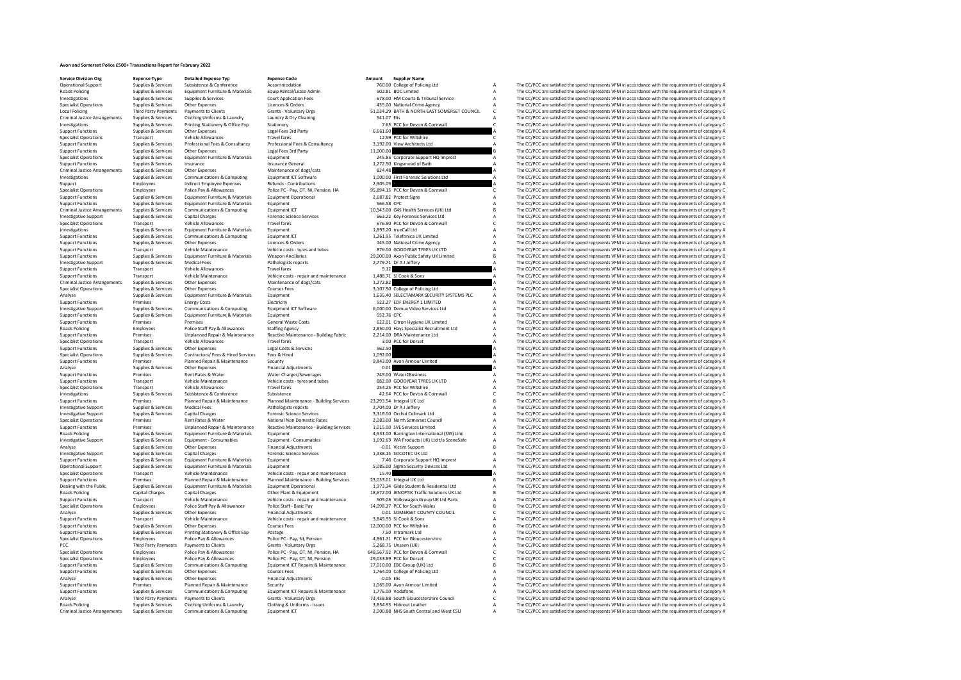## **Avon and Somerset Police £500+ Transactions Report for February 2022**

**Service Division Org Expense Type Detailed Expense Typ Expense Code Amount Supplier Name**<br>Choerational Supplier Name Supplier & Suppliers Supplier Supplier Conference **Accommodation Amount** 760.00 College of P

Operational Support Supplies & Services Subsistence Accommodation and the CONFERENCE CONFERENCE ACCOMMODATION CONFERENCE ACCOMMODATION 760.00 College of Policing Ltd A The CC/PCC are satisfied the spend represents VFM in a Roads Policing Supplies & Services Equipment Furniture & Materials Equip Rental/Lease Admin 502.81 BOC Limited A The CC/PCC are satisfied the spend represents VFM in accordance with the requirements of category A The CC/PC Investigations Supplies Services Supplies & Services Supplies & Services Court Application Fees 678.00 HM Courts & Tribunal Service A The CC/PCC are satisfied the spend represents VFM in accordance with the requirements of Specialist Operations Supplies & Services Other Expenses Licences & Orders Licences A Dream AS.00 National Crime Agency A The CC/PCC are satisfied the spend represents VFM in accordance with the requirements of category Cr Local Policing Third Party Payments Payments to Clients Grants - Voluntary Orgs 51,034.29 BATH & NORTH EAST SOMERSET COUNCIL C The CC/PCC are satisfied the spend represents VPM in accordance with the requirements of catego Criminal Justice Arrangements Supplies & Services Clothing Uniforms & Laundry Laundry Laundry A Dry Cleaning 541.07 Elis A The CC/PCC are satisfied the spend represents VFM in accordance with the requirements of category C Investigations Supplies & Services Printing Stationery & Office Exp Stationery 7.65 PCC for Devon & Cornwall C The CC/PCC are satisfied the spend represents VFM in accordance with the requirements of category C Supplies & Support Functions Supplies & Services Other Expenses Legal Fees 3rd Party 6,661.60 A The CC/PCC are satisfied the spend represents VFM in accordance with the requirements of category Vehicle Allowances Legal Fees 3rd Party Specialist Operations Transport Vehicle Allowances Travel fares Travel fares 12.59 PCC for Wiltshire C The CC/PCC are satisfied the spend represents VFM in accordance with the requirements of category C Supplies & Services Support Supplies Services Professional Res Ronsultancy Professional Professional Professional Developments of the Consultancy of the Consultancy of the Consumer Consumer Consumer Support Professional Professional Professio Support Functions Supplies Services Other Functions Support Functions Support Functions Support Functions Support Functions Support Functions Support Functions Support Functions Support Functions Support Functions Function Specialist Operations Supplies Services Equipment Furniture & Materials Equipment 245.83 Corporate Support HQ Imprest A The CC/PCC are satisfied the spend represents VFM in accordance with the requirements of category A Th Support Functions Supplies Services Insurance Insurance Insurance Content Content Insurance Occupations insurance Content A The CC/PCC are satisfied the spend represents VFM in accordance with the requirements of category Criminal Justice Arrangements Supplies & Services Other Expenses Maintenance of dogs/cats and the service of the spend represents of the spend represents VFM in accordance with the requirements of category A The CC/PCC are Equipment Communications & Computing Manuforment Continues Computing Equipment ICT Software 1,000.00 First Forensic Solutions Ltd A The CC/PCC are satisfied the spend represents VFM in accordance with the requirements of c Support Employees Indirect Employee Expenses Refunds Contributions 2,905.03 Control 2005.03 A The CC/PCC are satisfied the spend represents VFM in accordance with the requirements of category A Police Pay & Allowances Poli Specialist Operations Employees Police Police Pay & Allowances Police PC-Pay, OT, NI, Pension, HA 95,894.15 PCC for Devon & Communi C The CC/PCC are satisfied the spend represents VFM in accordance with the requirements of Support Functions Supplies & Services Equipment Funiture & Materials Equipment Operational 2,687.82 Protect Signs A The CC/PCC are satisfied the spend represents VFM in accordance with the requirements of category A Suppor Support Functions Supplies Applies Equipment Functions Support Equipment Functions Equipment Functions and the Contract are satisfied the spend represents VFM in accordance with the requirements of category A The CC/PCC ar Criminal ustle of the state of the communications & Computing the Enginement Criminal Criminal Criminal Criminal Criminal Criminal Criminal Criminal Criminal Criminal Criminal Criminal Criminal Criminal Criminal Criminal C Investigative Supplies Services Capital Charges Capital Charges Communicates Capital Charges Science Services Ltd A The CC/PCC are satisfied the spend represents VFM in accordance with the requirements of category A The CC Specialist Operations Transport Vehicle Allowances Travel fares Travel fares 676.90 PCC for Devon & Cornwall C The CC/PCC are satisfied the spend represents VFM in accordance with the requirements of category C Investigati Investigations Supplies & Services Equipment Furniture & Materials Equipment CT and the Service Equipment Category A The CC/PCC are satisfied the spend represents VFM in accordance with the requirements of category A Suppo Support Functions Supplies & Services Communications & Computing Equipment ICT 1,261.95 Telefonica UK Limited A The CC/PCC are satisfied the spend represents VFM in accordance with the requirements of category A Support Fu Support Functions Support Functions Crime CC/PCC are satisfied the spend represents VFM in accordance with the requirements of category A The CC/PCC are satisfied the spend represents VFM in accordance with the requirement Support Functions Transport Vehicle Maintenance Vehicle costs - tyres and tubes 876.00 GOODYEAR TYRES UK LTD A The CC/PCC are satisfied the spend represents VFM in accordance with the requirements of category A Support Fun Experiment Supplies & Services Equipment Furniture & Materials Weapon Ancillaries 29,000.00 Axon Public Safety UK Limited B The CC/PCC are satisfied the spend represents VFM in accordance with the requirements of category Investigative Support Support Support Support Support Support Medical Fees Medical Fees Medical Fees Pathologists reports A Z779.71 Dr A J Jeffery A The CC/PCC are satisfied the spend represents VFM in accordance with the Support Functions Transport Vehicle Allowances Travel Travel fares and the Support Transport Vehicle Allowance<br>Support Functions Transport Vehicle Allowance Vehicle And the spend represent Vehicle Allowance Vehicle Allowan Support Functions Transport Vehicle Maintenance Vehicle costs - repair and maintenance 1,488.71 SJ Cook & Sons A The CC/PCC are satisfied the spend represents VFM in accordance with the requirements of category A The CC/PC Criminal Justice Arrangements Supplies & Services Other Expenses Maintenance of dogs/cats 1,272.82 Companies 1,272.82 A The CC/PCC are satisfied the spend represents VFM in accordance with the requirements of category A Sp Specialist Operations Supplies & Services Other Expenses Courses Courses Fees 3,107.50 College of Policing Ltd A The CC/PCC are satisfied the spend represents VFM in accordance with the requirements of category A Courses C Analyse Supplies Supplies Supplies Services Equipment Furniture & Materials Equipment 1,635.40 SECTAMARK SECURITY SYSTEMS PLC A The CC/PCC are satisfied the spend represents VFM in accordance with the requirements of categ Electricity Energy Costs Electricity Equipment CT Software 522.27 EDF ENERGY 1 LIMITED A The CC/PCC are satisfied the spend represents VFM in accordance with the requirements of category A Support Functions A Support COST Investigative Support Supplies & Services Communications & Computing Equipment ICT Software 6,000.00 Demux Video Services Ltd A The CC/PCC are satisfied the spend represents VFM in accordance with the requirements of category A Support Functions Supplies & Services Equipment Functions Support Functions Support Functions Supplies & Services Equipment Functions Support Functions Supplies & Services Equipment Materials Equipment of Category A The CC Support Functions Premises Premises Premises Premises Containers of Containers Containers of Containers of Containers of Containers of Containers of Containers of Containers of Containers of Containers of Containers of Con Roads Policing Employees Police Staff Pay & Allowances Staffing Agency 2,850.00 Hays Specialist Recruitment Ltd A The CC/PCC are satisfied the spend represents VFM in accordance with the requirements of category A Support Example of Transformation of Transformation and Unplanned Repair & Maintenance Reactive Maintenance Building Fabric 2,214.00 DRA Maintenance Ltd . The CC/PCC are satisfied the spend represents VFM in accordance with the re Specialist Operations Transport Vehicle Allowances Travel fares Travel fares 3.00 PCC for Dorset A The CC/PCC are satisfied the spend represents VFM in accordance with the requirements of category A Specialist Operations a Support Functions Supplies Services Other Expenses Legal Costs Services Support Functions Support Functions Support Functions Support Functions Support Functions Contextent Services Contextent Functions and the context of Specialist Operations Supplies Services Contractors/ Fees Hired Services Fees A Hired Services Feesting and the CC/PC are satisfied the Specialist Contractors/ A The CC/PCC are satisfied the spend represents VFM in accorda The CC/PCC are satisfied the spend represents VFM in accordance with the requirements of category A Analyse Supplies Supplies Other Expenses Financial Adjustments 0.01 A The CC/PCC are satisfied the spend represents VFM in accordance with the requirements of category A Support Functions Premises Rent Rates Ruder Water Water Premises/Sewerages Mater2Business A The CC/PCC are satisfied the spend represents VFM in accordance with the requirements of category A The CC/PCC are satisfied the s Support Functions Transport Vehicle Maintenance Vehicle costs - tyres and tubes 882.00 GOODYEAR TYRES UK LTD A The CC/PCC are satisfied the spend represents VFM in accordance with the requirements of category A Seccialist Transport Vehicle Allowances Travel fares Travel fares 254.25 PCC for Wiltshire A The CC/PCC are satisfied the spend represents VFM in accordance with the requirements of category A a The CC/PCC are satisfied the spend rep Investigations Supplies & Services Subsistence Subsistence Subsistence Allentence 42.64 PCC for Devon & Cornwall C The CC/PCC are satisfied the spend represents VFM in accordance with the requirements of category C Pubsist Premises Planned Repair & Maintenance Planned Maintenance - Building Services 23,293.54 Integral UK Ltd B The CC/PCC are satisfied the spend represents VFM in accordance with the requirements of category B The Critery and Investigative Support Supplies & Services Medical Fees Pathologists Pathologists reports 2,704.00 Dr A Jeffery A The CC/PCC are satisfied the spend represents VFM in accordance with the requirements of category A The CC/PC Investigative Supplies A Services Capital Charges Support Support Support Support Support Support Support Support Support Support Support Support Support Support Support Support Support Support Support Support Support Supp Specialist Operations Premises Rent Rates Rent Rates Rent Rates Rent Rates 2,083.00 Non Domestic Rates 2,083.00 North Somerset Council A The CC/PCC are satisfied the spend represents VFM in accordance with the requirements The CC/DCC are satisfied the spend represents VEM in accordance with the requirements of sategory A Roads Policing Supplies & Services Equipment Furniture & Materials Equipment Accupations Equipment A 4,531.00 Barrington International (SSS) Limi A The CC/PCC are satisfied the spend represents VFM in accordance with the r 1.692.69 Marchistopher America Consumer Consumables (1.692.69 WA Products UK) Ltd Va SceneSafe A The CC/PCC are satisfied the spend represents VFM in accordance with the requirements of category Analyse Supplies & Services Analyse Supplies & Services Other Expenses Financial Adjustments -0.01 Victim Support -0.01 Victim Support -0.01 Victim Support B The CC/PCC are satisfied the spend represents VFM in accordance with the requirements of cat Investigative Support Supplies & Services Capital Charges Capital Charges Forensic Science Services 1,338.15 SOCOTEC UK Ltd A The CC/PCC are satisfied the spend represents VFM in accordance with the requirements of categor Support Functions Supplies & Services Equipment Furniture & Materials Equipment Punctice Equipment Punctice A The CC/PCC are satisfied the spend represents VFM in accordance with the requirements of category A Corporate A Operational Support Supplies & Services Equipment Furniture & Materials Equipment Support Support Support Support Support Support Support Support Support Support Support Support Support Support Support Support Support Supp Specialist Operations Transport Vehicle Maintenance Vehicle costs - repair and maintenance 15.40 A The CC/PCC are satisfied the spend represents VFM in accordance with the requirements of category A Vehicle costs - repair Support Functions Premises Planned Repair & Maintenance Planned Maintenance Building Services 23,033.01 Integral UK Ltd B The CC/PCC are satisfied the spend represents VFM in accordance with the requirements of category B Supplies & Services Equipment Furniture & Materials Equipment Operational 1.973.34 Glide Student & Residential Ltd A The CC/PCC are satisfied the spend represents VFM in accordance with the requirements of category A canit Roads Policing Capital Charges Capital Charges Other Plant Charges Other Plant Charges Other Plant Development of the Solutions University Charges Other Plant Development of the Solutions UK Ltd B The COPC are satisfied th Eman and Transport of Templere of the Maintenance of Vehicle costs - repair and maintenance 505.06 Volkswagen Group UK Ltd Parts A The CC/PCC are satisfied the spend represents VFM in accordance with the requirements of ca Police Staff - Basic Pay **Allowance Concess Police Staff Pays Allowances Police Staff - Basic Pay 14,098.27 PCC for South Wales B The CC/PCC are satisfied the spend represents VFM in accordance with the requirements of cat** Analyse Supplies & Services Other Expenses Financial Adjustments Christments Comence COUNTY COUNCIL C The CC/PCC are satisfied the spend represents VFM in accordance with the requirements of category C Vehicle costs repair Support Functions Transport Functions Transport Vehicle costs - repair and maintenance 3,845.93 SJ Cook & Sons A The CC/PCC are satisfied the spend represents VFM in accordance with the requirements of category Brunden A T Support Functions Supplies & Services Other Expenses Courses Courses Fees 12,000.00 PCC for Willshire B The CC/PCC are satisfied the spend represents VFM in accordance with the requirements of category B Courses Fees 12,00 Support Functions Supplies & Services Printing Stationery & Office Exp Postage Postage Postage Postage 7.50 Intramark Ltd A The CC/PCC are satisfied the spend represents VFM in accordance with the requirements of category Specialist Operations Employees Police Pay & Allowances Police PC - Pay, NI, Pension 4,861.31 PCC for Gloucestershire A The CC/PCC are satisfied the spend represents VFM in accordance with the requirements of category A Th PCC Third Party Payments Payments District Glients Grants Voluntary Orgs 5,268.75 Unseen (UK) A The CC/PCC are satisfied the spend represents VFM in accordance with the requirements of category A The CC/PC are satisfied th Specialist Operations Employees Police Pay & Allowances Police PC - Pay, OT, Ni, Pension, HA 648,567.92 PCC for Devon & Comwall C The CC/PCC are satisfied the spend represents VFM in accordance with the requirements of cat Specialist Operations Employees Police Pay & Police Pay Police Pay OT, NI, Pension 29,033.89 PCC for Dorset Co<br>Supplies Pay, Other Pay, Other Pay, Other Pay, Other Pay, OT, NI, Pension 29,033.89 PCC for Dorset Communicatio 17,010.00 EBC Group (UK) Ltd **EXECT B** The CC/PCC are satisfied the spend represents VFM in accordance with the requirements of category B<br>1.764.00 College of Policing I td **A** The CC/PCC are satisfied the spend represents Support Functions Supplies Services Other Expenses Courses Fees 1,764.00 College of Policing Ltd A The CC/PCC are satisfied the spend represents VFM in accordance with the requirements of category A Analyse Supplies Services Other Expenses Financial Adjustments -0.05 Elis A The CC/PCC are satisfied the spend represents VFM in accordance with the requirements of category A<br>Supplies A The CC/PCC are satisfied the condit Support Functions Premises Planned Repair & Maintenance Security 1,065.00 Avon Armour Limited A The CC/PCC are satisfied the spend represents VFM in accordance with the requirements of category A The CC/PCC are satisfied t Supplies & Services Communications & Computing Equipment ICT Repairs & Maintenance 1,776.00 Vodafone A The CC/PCC are satisfied the spend represents VFM in accordance with the requirements of category A The CC/PCC are sati Analyse Third Party Payments Payments to Clients Grants Voluntary Orgs 73,438.88 South Gloucestershire Council C The CC/PCC are satisfied the spend represents VFM in accordance with the requirements of category C Grants - Explies & Services Clothing Uniforms & Laundry Clothing & Uniforms - Issues 3,854.93 Hideout Leather and West Clothing A The CC/PCC are satisfied the spend represents VFM in accordance with the requirements of category A T Criminal Justice Arrangements Supplies & Services Communications & Computing Equipment ICT 2,000.88 NHS South Central and West CSU A The CC/PCC are satisfied the spend represents VFM in accordance with the requirements of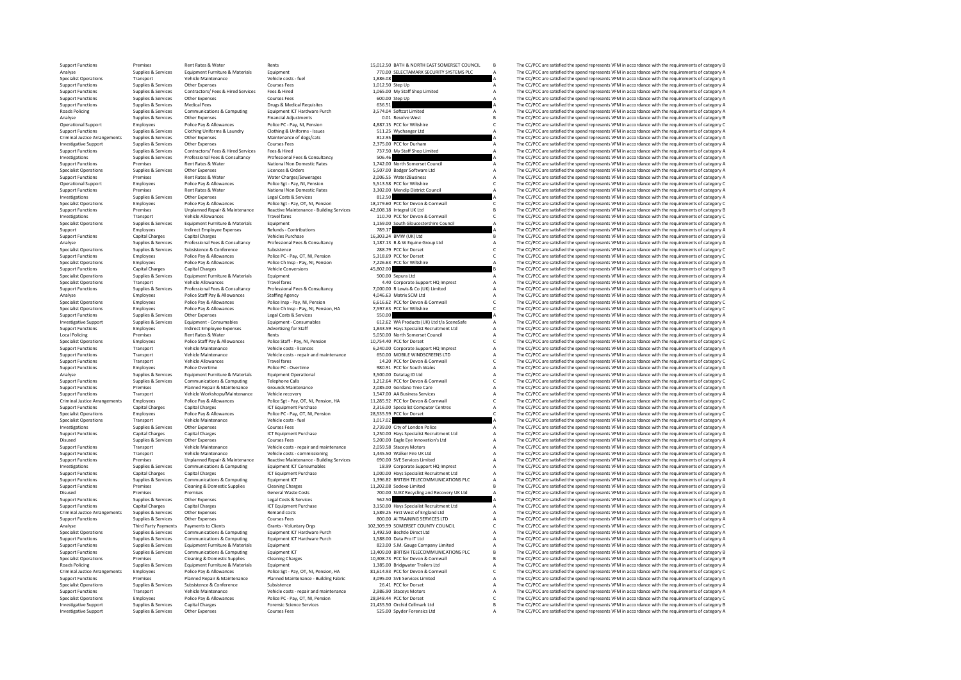|              | BATH & NORTH EAST SOMERSET COUNCIL                                | в                  | т      |
|--------------|-------------------------------------------------------------------|--------------------|--------|
|              | SELECTAMARK SECURITY SYSTEMS PLC                                  | A                  | T      |
|              |                                                                   | A                  | T      |
|              | Step Up                                                           | Δ                  | T      |
|              | My Staff Shop Limited                                             | A                  | T      |
|              | Step Up                                                           |                    | T      |
|              |                                                                   |                    | T      |
|              | Softcat Limited                                                   |                    | T      |
|              | <b>Resolve West</b>                                               | Ŕ                  | T      |
|              | PCC for Wiltshire                                                 | Ċ                  | T      |
|              | Wychanger Ltd                                                     |                    | T      |
|              |                                                                   | A                  | T      |
|              | PCC for Durham                                                    | A                  | T      |
|              | My Staff Shop Limited                                             | A                  | T      |
|              |                                                                   |                    | T      |
| Н            | North Somerset Council                                            | A                  | T      |
|              | <b>Badger Software Ltd</b>                                        | A                  | T      |
|              |                                                                   |                    |        |
|              | Water2Business                                                    | A                  | T<br>T |
|              | PCC for Wiltshire                                                 | Ċ                  |        |
|              | Mendip District Council                                           |                    | T      |
| Г            |                                                                   | A                  | T      |
|              | PCC for Devon & Cornwall                                          | Ċ                  | T      |
|              | Integral UK Ltd                                                   | B                  | T      |
| Í            | PCC for Devon & Cornwall                                          | ċ                  | T      |
|              | South Gloucestershire Council                                     | Ą                  | T      |
|              |                                                                   | A                  | T      |
|              | BMW (UK) Ltd                                                      | B                  | T      |
|              | B & W Equine Group Ltd                                            | A                  | T      |
|              | PCC for Dorset                                                    | Ċ                  | T      |
|              | PCC for Dorset                                                    | Ċ                  | T      |
|              | PCC for Wiltshire                                                 | A                  | T      |
| $\mathbf{I}$ |                                                                   | B                  | T      |
|              | Sepura Ltd                                                        | A                  | T      |
|              | Corporate Support HQ Imprest                                      | A                  | T      |
|              |                                                                   | A                  |        |
| I            | R Lewis & Co (UK) Limited                                         | A                  | T      |
|              | Matrix SCM Ltd                                                    |                    | T      |
|              | PCC for Devon & Cornwall                                          | c                  | T      |
|              | PCC for Wiltshire                                                 | c                  | T      |
| И            |                                                                   | A                  | T      |
|              | WA Products (UK) Ltd t/a SceneSafe                                | AAACAACA           | T      |
|              | Hays Specialist Recruitment Ltd                                   |                    | T      |
| I.           | North Somerset Council                                            |                    | T      |
|              | PCC for Dorset                                                    |                    | T      |
|              | Corporate Support HQ Imprest                                      |                    | T      |
|              | MOBILE WINDSCREENS LTD                                            |                    | T      |
| I.           | PCC for Devon & Cornwall                                          |                    | Ť      |
|              | PCC for South Wales                                               |                    | T      |
|              | Datatag ID Ltd                                                    |                    | Ť      |
|              |                                                                   |                    |        |
|              |                                                                   |                    |        |
|              | PCC for Devon & Cornwall                                          | A<br>C             | T      |
|              | Gordano Tree Care                                                 |                    | T      |
|              | AA Business Services                                              |                    | Ť      |
|              | PCC for Devon & Cornwall                                          | A<br>A<br>C        | T      |
|              | Specialist Computer Centres                                       | A                  | T      |
|              | PCC for Dorset                                                    | $\tilde{\epsilon}$ | T      |
| ı            |                                                                   | A                  | T      |
|              | City of London Police                                             |                    | Ť      |
|              | Hays Specialist Recruitment Ltd                                   |                    | T      |
|              | Eagle Eve Innovation's Ltd                                        |                    | T      |
|              | Staceys Motors                                                    |                    | T      |
|              | Walker Fire UK Ltd                                                |                    | T      |
|              | SVE Services Limited                                              |                    | T      |
| Í.           | Corporate Support HQ Imprest                                      | AAAAAAA            | T      |
|              |                                                                   |                    | T      |
|              | Hays Specialist Recruitment Ltd<br>BRITISH TELECOMMUNICATIONS PLC | A<br>A             | T      |
| ŕ.           | Sodexo Limited                                                    | $\overline{B}$     | T      |
|              |                                                                   |                    | T      |
|              | SUEZ Recycling and Recovery UK Ltd                                | A<br>A             | T      |
| I            |                                                                   |                    | T      |
|              | Hays Specialist Recruitment Ltd                                   |                    | T      |
|              | First West of England Ltd                                         | A<br>A             | T      |
|              | AI TRAINING SERVICES LTD                                          | A                  |        |
|              | SOMERSET COUNTY COUNCIL                                           | $\tilde{\epsilon}$ | T      |
|              | <b>Bechtle Direct Ltd</b>                                         | A                  | T      |
|              | Data Pro IT Ltd                                                   | A                  | T      |
|              | S.M. Gauge Company Limited                                        | A                  | T      |
|              | BRITISH TELECOMMUNICATIONS PLC                                    | B                  | Ť      |
|              | PCC for Devon & Cornwall                                          | B                  | T      |
|              | <b>Bridgwater Trailers Ltd</b>                                    | A                  | T      |
|              | PCC for Devon & Cornwall                                          | ċ                  | T      |
|              | SVE Services Limited                                              | A                  | T      |
|              | PCC for Dorset                                                    |                    | T      |
|              | Staceys Motors                                                    |                    | T      |
|              | PCC for Dorset                                                    | A<br>A<br>C        | T      |
|              | Orchid Cellmark Ltd                                               | B                  | T      |

| <b>Support Functions</b>             | Premises                    | Rent Rates & Water                 | Rents                                    | 15,012.50 BATH & NORTH EAST SOMERSET COUNCIL                                   | B                              | The CC/PCC are satisfied the spend represents VFM in accordance with the requirements of category B |
|--------------------------------------|-----------------------------|------------------------------------|------------------------------------------|--------------------------------------------------------------------------------|--------------------------------|-----------------------------------------------------------------------------------------------------|
| Analyse                              | Supplies & Services         | Equipment Furniture & Materials    | Equipment                                | 770.00 SELECTAMARK SECURITY SYSTEMS PLC                                        | $\Delta$                       | The CC/PCC are satisfied the spend represents VFM in accordance with the requirements of category A |
|                                      |                             |                                    |                                          |                                                                                |                                |                                                                                                     |
| <b>Specialist Operations</b>         | Transport                   | Vehicle Maintenance                | Vehicle costs - fuel                     | 1,886.08                                                                       |                                | The CC/PCC are satisfied the spend represents VFM in accordance with the requirements of category A |
| <b>Support Functions</b>             | Supplies & Services         | Other Expenses                     | <b>Courses Fees</b>                      | 1,012.50 Step Up                                                               |                                | The CC/PCC are satisfied the spend represents VFM in accordance with the requirements of category A |
| <b>Support Functions</b>             | Supplies & Services         | Contractors/ Fees & Hired Services | Fees & Hired                             | 1,065.00 My Staff Shop Limited                                                 | A                              | The CC/PCC are satisfied the spend represents VFM in accordance with the requirements of category A |
| <b>Support Functions</b>             | Supplies & Services         | Other Expenses                     | <b>Courses Fees</b>                      | 600.00 Step Up                                                                 |                                | The CC/PCC are satisfied the spend represents VFM in accordance with the requirements of category A |
| <b>Support Functions</b>             | Supplies & Services         | <b>Medical Fees</b>                | Drugs & Medical Requisites               | 636.51                                                                         |                                | The CC/PCC are satisfied the spend represents VFM in accordance with the requirements of category A |
| <b>Roads Policing</b>                | Supplies & Services         | Communications & Computing         | Equipment ICT Hardware Purch             | 3,574.04 Softcat Limited                                                       |                                | The CC/PCC are satisfied the spend represents VFM in accordance with the requirements of category A |
| Analyse                              | Supplies & Services         | Other Expenses                     | <b>Financial Adjustments</b>             | 0.01 Resolve West                                                              | $\overline{R}$                 | The CC/PCC are satisfied the spend represents VFM in accordance with the requirements of category B |
| <b>Operational Support</b>           | Employees                   | Police Pay & Allowances            | Police PC - Pay, NI, Pension             | 4,887.15 PCC for Wiltshire                                                     | c                              | The CC/PCC are satisfied the spend represents VFM in accordance with the requirements of category C |
| <b>Support Functions</b>             | Supplies & Services         | Clothing Uniforms & Laundry        | Clothing & Uniforms - Issues             | 511.25 Wychanger Ltd                                                           |                                | The CC/PCC are satisfied the spend represents VFM in accordance with the requirements of category A |
| <b>Criminal Justice Arrangements</b> | Supplies & Services         | Other Expenses                     | Maintenance of dogs/cats                 | 812.95                                                                         |                                | The CC/PCC are satisfied the spend represents VFM in accordance with the requirements of category A |
| <b>Investigative Support</b>         | Supplies & Services         | Other Expenses                     | <b>Courses Fees</b>                      | 2.375.00 PCC for Durham                                                        |                                | The CC/PCC are satisfied the spend represents VFM in accordance with the requirements of category A |
| <b>Support Functions</b>             | Supplies & Services         | Contractors/ Fees & Hired Services | Fees & Hired                             | 737.50 My Staff Shop Limited                                                   |                                | The CC/PCC are satisfied the spend represents VFM in accordance with the requirements of category A |
| Investigations                       | Supplies & Services         | Professional Fees & Consultancy    | Professional Fees & Consultancy          | 506.46                                                                         |                                | The CC/PCC are satisfied the spend represents VFM in accordance with the requirements of category A |
| <b>Support Functions</b>             | Premises                    | Rent Rates & Water                 | National Non Domestic Rates              | 1,742.00 North Somerset Council                                                |                                | The CC/PCC are satisfied the spend represents VFM in accordance with the requirements of category A |
| <b>Specialist Operations</b>         | Supplies & Services         | Other Expenses                     | Licences & Orders                        | 5,507.00 Badger Software Ltd                                                   |                                | The CC/PCC are satisfied the spend represents VFM in accordance with the requirements of category A |
| <b>Support Functions</b>             | Premises                    | Rent Rates & Water                 | Water Charges/Sewerages                  | 2.006.55 Water2Business                                                        |                                | The CC/PCC are satisfied the spend represents VFM in accordance with the requirements of category A |
|                                      |                             |                                    |                                          | 5.513.58 PCC for Wiltshire                                                     | $\overline{A}$<br>$\mathsf{C}$ |                                                                                                     |
| Operational Support                  | Employees                   | Police Pay & Allowances            | Police Sgt - Pay, NI, Pension            |                                                                                |                                | The CC/PCC are satisfied the spend represents VFM in accordance with the requirements of category C |
| <b>Support Functions</b>             | Premises                    | <b>Rent Rates &amp; Water</b>      | National Non Domestic Rates              | 3,302.00 Mendip District Council                                               | $\Delta$                       | The CC/PCC are satisfied the spend represents VFM in accordance with the requirements of category A |
| Investigations                       | Supplies & Services         | Other Expenses                     | Legal Costs & Services                   | 812.50                                                                         |                                | The CC/PCC are satisfied the spend represents VFM in accordance with the requirements of category A |
| <b>Specialist Operations</b>         | Employees                   | Police Pay & Allowances            | Police Sgt - Pay, OT, NI, Pension        | 18,179.60 PCC for Devon & Cornwall                                             | c                              | The CC/PCC are satisfied the spend represents VFM in accordance with the requirements of category C |
| <b>Support Functions</b>             | Premises                    | Unplanned Repair & Maintenance     | Reactive Maintenance - Building Services | 42,608.18 Integral UK Ltd                                                      | B                              | The CC/PCC are satisfied the spend represents VFM in accordance with the requirements of category B |
| Investigations                       | Transport                   | <b>Vehicle Allowances</b>          | <b>Travel fares</b>                      | 110.70 PCC for Devon & Cornwall                                                | C                              | The CC/PCC are satisfied the spend represents VFM in accordance with the requirements of category C |
| <b>Specialist Operations</b>         | Supplies & Services         | Equipment Furniture & Materials    | Equipment                                | 1,159.00 South Gloucestershire Council                                         | A                              | The CC/PCC are satisfied the spend represents VFM in accordance with the requirements of category A |
| Support                              | Employees                   | <b>Indirect Employee Expenses</b>  | Refunds - Contributions                  | 789.17                                                                         |                                | The CC/PCC are satisfied the spend represents VFM in accordance with the requirements of category A |
| <b>Support Functions</b>             | <b>Capital Charges</b>      | <b>Capital Charges</b>             | <b>Vehicles Purchase</b>                 | 16,303.24 BMW (UK) Ltd                                                         | B                              | The CC/PCC are satisfied the spend represents VFM in accordance with the requirements of category B |
| Analyse                              | Supplies & Services         | Professional Fees & Consultancy    | Professional Fees & Consultancy          | 1,187.13 B & W Equine Group Ltd                                                | $\overline{A}$                 | The CC/PCC are satisfied the spend represents VFM in accordance with the requirements of category A |
| <b>Specialist Operations</b>         | Supplies & Services         | Subsistence & Conference           | Subsistence                              | 288.79 PCC for Dorset                                                          | $\mathsf{C}$                   | The CC/PCC are satisfied the spend represents VFM in accordance with the requirements of category C |
| <b>Support Functions</b>             | Employees                   | Police Pay & Allowances            | Police PC - Pay, OT, NI, Pension         | 5,318.69 PCC for Dorset                                                        | c                              | The CC/PCC are satisfied the spend represents VFM in accordance with the requirements of category C |
| <b>Specialist Operations</b>         | Employees                   | Police Pay & Allowances            | Police Ch Insp - Pay, NI, Pension        | 7.226.63 PCC for Wiltshire                                                     | A                              | The CC/PCC are satisfied the spend represents VFM in accordance with the requirements of category A |
| <b>Support Functions</b>             |                             |                                    | <b>Vehicle Conversions</b>               | 45.802.00                                                                      |                                |                                                                                                     |
|                                      | <b>Capital Charges</b>      | <b>Capital Charges</b>             |                                          |                                                                                |                                | The CC/PCC are satisfied the spend represents VFM in accordance with the requirements of category B |
| <b>Specialist Operations</b>         | Supplies & Services         | Equipment Furniture & Materials    | Equipment                                | 500.00 Sepura Ltd                                                              |                                | The CC/PCC are satisfied the spend represents VFM in accordance with the requirements of category A |
| <b>Specialist Operations</b>         | Transport                   | Vehicle Allowances                 | <b>Travel fares</b>                      | 4.40 Corporate Support HQ Imprest                                              | $\overline{A}$                 | The CC/PCC are satisfied the spend represents VFM in accordance with the requirements of category A |
| <b>Support Functions</b>             | Supplies & Services         | Professional Fees & Consultancy    | Professional Fees & Consultancy          | 7,000.00 R Lewis & Co (UK) Limited                                             | A                              | The CC/PCC are satisfied the spend represents VFM in accordance with the requirements of category A |
| Analyse                              | Employees                   | Police Staff Pay & Allowances      | <b>Staffing Agency</b>                   | 4.046.63 Matrix SCM Ltd                                                        | $\overline{A}$                 | The CC/PCC are satisfied the spend represents VFM in accordance with the requirements of category A |
| <b>Specialist Operations</b>         | Employees                   | Police Pay & Allowances            | Police Insp - Pay, NI, Pension           | 6,616.62 PCC for Devon & Cornwall                                              | $\mathsf{C}$                   | The CC/PCC are satisfied the spend represents VFM in accordance with the requirements of category C |
| <b>Specialist Operations</b>         | Employees                   | Police Pay & Allowances            | Police Ch Insp - Pav. NI. Pension. HA    | 7,597.63 PCC for Wiltshire                                                     | Ċ                              | The CC/PCC are satisfied the spend represents VFM in accordance with the requirements of category C |
| <b>Support Functions</b>             | Supplies & Services         | Other Expenses                     | Legal Costs & Services                   | 550.00                                                                         |                                | The CC/PCC are satisfied the spend represents VFM in accordance with the requirements of category A |
| <b>Investigative Support</b>         | Supplies & Services         | Equipment - Consumables            | Foujnment - Consumables                  | 612.62 WA Products (UK) Ltd t/a SceneSafe                                      | $\Delta$                       | The CC/PCC are satisfied the spend represents VFM in accordance with the requirements of category A |
| <b>Support Functions</b>             | Employees                   | <b>Indirect Employee Expenses</b>  | Advertising for Staff                    | 1,843.59 Hays Specialist Recruitment Ltd                                       | A                              | The CC/PCC are satisfied the spend represents VFM in accordance with the requirements of category A |
| <b>Local Policing</b>                | Premises                    | Rent Rates & Water                 | Rents                                    | 5.050.00 North Somerset Council                                                | A                              | The CC/PCC are satisfied the spend represents VFM in accordance with the requirements of category A |
| <b>Specialist Operations</b>         | Employees                   | Police Staff Pay & Allowances      | Police Staff - Pay, NI, Pension          | 10,754.40 PCC for Dorset                                                       | $\mathsf{C}$                   | The CC/PCC are satisfied the spend represents VFM in accordance with the requirements of category C |
| <b>Support Functions</b>             | Transport                   | Vehicle Maintenance                | Vehicle costs - licences                 | 6,240.00 Corporate Support HQ Imprest                                          | A                              | The CC/PCC are satisfied the spend represents VFM in accordance with the requirements of category A |
| <b>Support Functions</b>             | Transport                   | Vehicle Maintenance                | Vehicle costs - repair and maintenance   | 650.00 MOBILE WINDSCREENS LTD                                                  | $\overline{A}$                 | The CC/PCC are satisfied the spend represents VFM in accordance with the requirements of category A |
|                                      |                             |                                    |                                          |                                                                                |                                |                                                                                                     |
| <b>Support Functions</b>             | Transport                   | <b>Vehicle Allowances</b>          | <b>Travel fares</b>                      | 14.20 PCC for Devon & Cornwall                                                 | c                              | The CC/PCC are satisfied the spend represents VFM in accordance with the requirements of category C |
| <b>Sunnort Functions</b>             | <b>Employees</b>            | Police Overtime                    | Police PC - Overtime                     | 980.91 PCC for South Wales                                                     | $\mathsf A$                    | The CC/PCC are satisfied the spend represents VEM in accordance with the requirements of category A |
| Analyse                              | Supplies & Services         | Equipment Furniture & Materials    | <b>Equipment Operational</b>             | 3,500.00 Datatag ID Ltd                                                        |                                | The CC/PCC are satisfied the spend represents VFM in accordance with the requirements of category A |
| <b>Support Functions</b>             | Supplies & Services         | Communications & Computing         | <b>Telephone Calls</b>                   | 1.212.64 PCC for Devon & Cornwall                                              | $\mathsf{c}$                   | The CC/PCC are satisfied the spend represents VFM in accordance with the requirements of category C |
| <b>Support Functions</b>             | Premises                    | Planned Repair & Maintenance       | <b>Grounds Maintenance</b>               | 2.085.00 Gordano Tree Care                                                     | A                              | The CC/PCC are satisfied the spend represents VFM in accordance with the requirements of category A |
| <b>Support Functions</b>             | Transport                   | Vehicle Workshops/Maintenance      | Vehicle recovery                         | 1.547.00 AA Business Services                                                  | A                              | The CC/PCC are satisfied the spend represents VFM in accordance with the requirements of category A |
| <b>Criminal Justice Arrangements</b> | Employees                   | Police Pay & Allowances            | Police Sgt - Pay, OT, NI, Pension, HA    | 11.285.92 PCC for Devon & Cornwall                                             | $\mathsf{c}$                   | The CC/PCC are satisfied the spend represents VFM in accordance with the requirements of category C |
| <b>Support Functions</b>             | <b>Capital Charges</b>      | <b>Capital Charges</b>             | <b>ICT Equipment Purchase</b>            | 2.316.00 Specialist Computer Centres                                           | A                              | The CC/PCC are satisfied the spend represents VFM in accordance with the requirements of category A |
| <b>Specialist Operations</b>         | Employees                   | Police Pay & Allowances            | Police PC - Pay, OT, NI, Pension         | 28,535.59 PCC for Dorset                                                       | c                              | The CC/PCC are satisfied the spend represents VFM in accordance with the requirements of category C |
| <b>Specialist Operations</b>         | Transport                   | Vehicle Maintenance                | Vehicle costs - fuel                     | 1,017.02                                                                       |                                | The CC/PCC are satisfied the spend represents VFM in accordance with the requirements of category A |
| Investigations                       | Supplies & Services         | Other Expenses                     | <b>Courses Fees</b>                      | 2,739.00 City of London Police                                                 | $\overline{A}$                 | The CC/PCC are satisfied the spend represents VFM in accordance with the requirements of category A |
| <b>Support Functions</b>             | <b>Capital Charges</b>      | <b>Capital Charges</b>             | <b>ICT Equipment Purchase</b>            | 1,250.00 Hays Specialist Recruitment Ltd                                       | A                              | The CC/PCC are satisfied the spend represents VFM in accordance with the requirements of category A |
| Disused                              | Supplies & Services         | Other Expenses                     | <b>Courses Fees</b>                      | 5.200.00 Eagle Eve Innovation's Ltd                                            | $\overline{A}$                 | The CC/PCC are satisfied the spend represents VFM in accordance with the requirements of category A |
| <b>Support Functions</b>             | Transport                   | Vehicle Maintenance                |                                          | 2.059.58 Stacevs Motors                                                        | $\overline{A}$                 |                                                                                                     |
|                                      |                             |                                    | Vehicle costs - repair and maintenance   |                                                                                |                                | The CC/PCC are satisfied the spend represents VFM in accordance with the requirements of category A |
| <b>Support Functions</b>             | Transport                   | Vehicle Maintenance                | Vehicle costs - commissioning            | 1.445.50 Walker Fire UK I td                                                   | $\Delta$                       | The CC/PCC are satisfied the spend represents VFM in accordance with the requirements of category A |
| <b>Support Functions</b>             | Premises                    | Unplanned Repair & Maintenance     | Reactive Maintenance - Building Services | 690.00 SVE Services Limited                                                    | A                              | The CC/PCC are satisfied the spend represents VFM in accordance with the requirements of category A |
| Investigations                       | Supplies & Services         | Communications & Computing         | <b>Equipment ICT Consumables</b>         | 18.99 Corporate Support HQ Imprest                                             | $\overline{A}$                 | The CC/PCC are satisfied the spend represents VFM in accordance with the requirements of category A |
| <b>Support Functions</b>             | <b>Capital Charges</b>      | <b>Capital Charges</b>             | <b>ICT Equipment Purchase</b>            | 1.000.00 Havs Specialist Recruitment Ltd                                       | $\mathbb A$                    | The CC/PCC are satisfied the spend represents VFM in accordance with the requirements of category A |
| <b>Support Functions</b>             | Supplies & Services         | Communications & Computing         | Equipment ICT                            | 1.396.82 BRITISH TELECOMMUNICATIONS PLC                                        | A                              | The CC/PCC are satisfied the spend represents VFM in accordance with the requirements of category A |
| <b>Support Functions</b>             | Premises                    | Cleaning & Domestic Supplies       | <b>Cleaning Charges</b>                  | 11.202.08 Sodexo Limited                                                       | B                              | The CC/PCC are satisfied the spend represents VFM in accordance with the requirements of category B |
| Disused                              | Premises                    | Premises                           | General Waste Costs                      | 700.00 SUEZ Recycling and Recovery UK Ltd                                      |                                | The CC/PCC are satisfied the spend represents VFM in accordance with the requirements of category A |
| <b>Support Functions</b>             | Supplies & Services         | Other Expenses                     | Legal Costs & Services                   | 562.50                                                                         |                                | The CC/PCC are satisfied the spend represents VFM in accordance with the requirements of category A |
| <b>Support Functions</b>             | <b>Capital Charges</b>      | <b>Capital Charges</b>             | <b>ICT Equipment Purchase</b>            | 3,150.00 Hays Specialist Recruitment Ltd                                       | A                              | The CC/PCC are satisfied the spend represents VFM in accordance with the requirements of category A |
| <b>Criminal Justice Arrangements</b> | Supplies & Services         | Other Expenses                     | <b>Remand costs</b>                      | 1.589.25 First West of England Itd                                             | A                              | The CC/PCC are satisfied the spend represents VFM in accordance with the requirements of category A |
| <b>Support Functions</b>             | Supplies & Services         | Other Expenses                     | <b>Courses Fees</b>                      | 800.00 AI TRAINING SERVICES LTD                                                | A                              | The CC/PCC are satisfied the spend represents VFM in accordance with the requirements of category A |
| Analyse                              | <b>Third Party Payments</b> | Payments to Clients                | Grants - Voluntary Orgs                  | 102.309.99 SOMERSET COUNTY COUNCIL                                             | $\mathsf{c}$                   | The CC/PCC are satisfied the spend represents VFM in accordance with the requirements of category C |
| <b>Specialist Operations</b>         | Supplies & Services         | Communications & Computing         | Equipment ICT Hardware Purch             | 1,492.50 Bechtle Direct Ltd                                                    | A                              | The CC/PCC are satisfied the spend represents VFM in accordance with the requirements of category A |
| <b>Support Functions</b>             | Supplies & Services         | Communications & Computing         | Equipment ICT Hardware Purch             | 1.588.00 Data Pro IT Ltd                                                       | A                              | The CC/PCC are satisfied the spend represents VFM in accordance with the requirements of category / |
| <b>Support Functions</b>             | Supplies & Services         | Equipment Furniture & Materials    | Equipment                                | 823.00 S.M. Gauge Company Limited                                              |                                | The CC/PCC are satisfied the spend represents VFM in accordance with the requirements of category A |
|                                      | Supplies & Services         |                                    |                                          |                                                                                | A                              |                                                                                                     |
| <b>Support Functions</b>             |                             | Communications & Computing         | Equipment ICT                            | 13,409.00 BRITISH TELECOMMUNICATIONS PLC<br>10.308.73 PCC for Devon & Cornwall | B                              | The CC/PCC are satisfied the spend represents VFM in accordance with the requirements of category B |
| <b>Specialist Operations</b>         |                             |                                    |                                          |                                                                                | $\overline{B}$                 | The CC/PCC are satisfied the spend represents VFM in accordance with the requirements of category B |
|                                      | Premises                    | Cleaning & Domestic Supplies       | <b>Cleaning Charges</b>                  |                                                                                |                                |                                                                                                     |
| Roads Policing                       | Supplies & Services         | Equipment Furniture & Materials    | Equipment                                | 1,385.00 Bridgwater Trailers Ltd                                               | A                              | The CC/PCC are satisfied the spend represents VFM in accordance with the requirements of category A |
| <b>Criminal Justice Arrangements</b> | Employees                   | Police Pay & Allowances            | Police Sgt - Pay, OT, NI, Pension, HA    | 81.614.93 PCC for Devon & Cornwall                                             | $\mathfrak{c}$                 | The CC/PCC are satisfied the spend represents VFM in accordance with the requirements of category C |
| <b>Support Functions</b>             | Premises                    | Planned Repair & Maintenance       | Planned Maintenance - Building Fabric    | 3,095.00 SVE Services Limited                                                  |                                | The CC/PCC are satisfied the spend represents VFM in accordance with the requirements of category A |
| <b>Specialist Operations</b>         | Supplies & Services         | Subsistence & Conference           | Subsistence                              | 26.41 PCC for Dorset                                                           | $\overline{A}$                 | The CC/PCC are satisfied the spend represents VFM in accordance with the requirements of category A |
| <b>Support Functions</b>             | Transport                   | Vehicle Maintenance                | Vehicle costs - repair and maintenance   | 2,986.90 Staceys Motors                                                        | A                              | The CC/PCC are satisfied the spend represents VFM in accordance with the requirements of category A |
| <b>Specialist Operations</b>         | Employees                   | Police Pay & Allowances            | Police PC - Pav. OT. NI. Pension         | 28.948.44 PCC for Dorset                                                       | $\mathfrak{c}$                 | The CC/PCC are satisfied the spend represents VFM in accordance with the requirements of category C |
| <b>Investigative Support</b>         | Supplies & Services         | <b>Capital Charges</b>             | <b>Forensic Science Services</b>         | 21,435.50 Orchid Cellmark Ltd                                                  | $\mathbf{B}$                   | The CC/PCC are satisfied the spend represents VFM in accordance with the requirements of category B |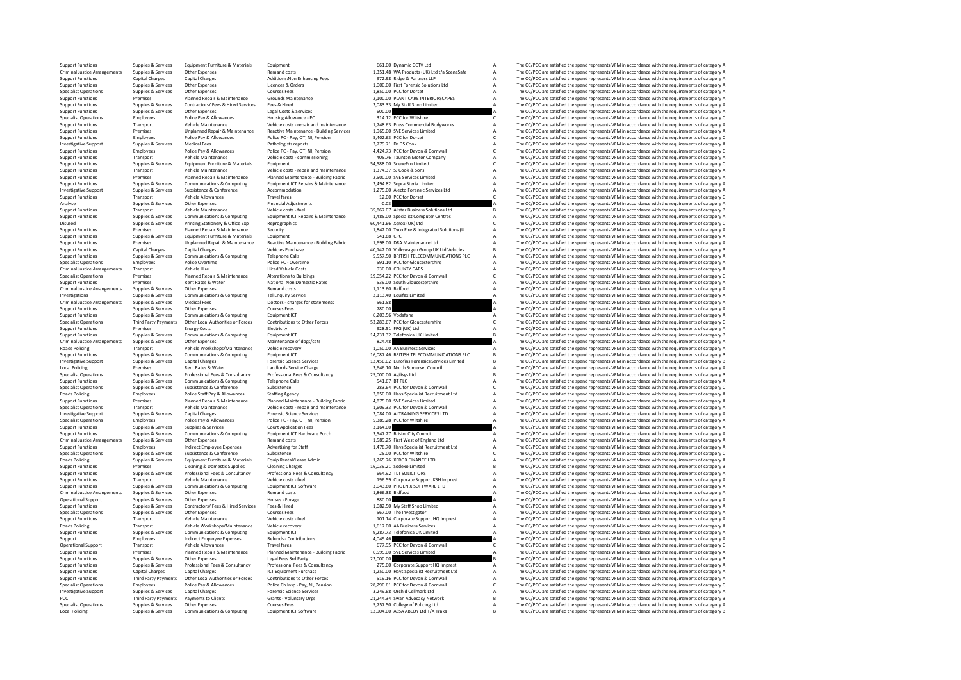| <b>Support Functions</b>             | Supplies & Services         | Equipment Furniture & Materials            | Equipment                                | 661.00 Dynamic CCTV Ltd                       | A              | The CC/PCC are satisfied the spend represents VFM in accordance with the requirements of category A |
|--------------------------------------|-----------------------------|--------------------------------------------|------------------------------------------|-----------------------------------------------|----------------|-----------------------------------------------------------------------------------------------------|
| Criminal Justice Arrangements        | Supplies & Services         | Other Expenses                             | Remand costs                             | 1,351.48 WA Products (UK) Ltd t/a SceneSafe   | А              | The CC/PCC are satisfied the spend represents VFM in accordance with the requirements of category A |
| <b>Support Functions</b>             | <b>Capital Charges</b>      | <b>Capital Charges</b>                     | Additions: Non Enhancing Fees            | 972.98 Ridge & Partners LLP                   | A              | The CC/PCC are satisfied the spend represents VFM in accordance with the requirements of category A |
| <b>Support Functions</b>             | Supplies & Services         | Other Expenses                             | Licences & Orders                        | 1.000.00 First Forensic Solutions Ltd         | А              | The CC/PCC are satisfied the spend represents VFM in accordance with the requirements of category A |
| <b>Specialist Operations</b>         | Supplies & Services         | Other Expenses                             | <b>Courses Fees</b>                      | 1,850.00 PCC for Dorset                       | A              | The CC/PCC are satisfied the spend represents VFM in accordance with the requirements of category A |
| <b>Support Functions</b>             | Premises                    | Planned Repair & Maintenance               | Grounds Maintenance                      | 2,100.00 PLANT CARE INTERIORSCAPES            | A              | The CC/PCC are satisfied the spend represents VFM in accordance with the requirements of category A |
| <b>Support Functions</b>             | Supplies & Services         | Contractors/ Fees & Hired Services         | Fees & Hired                             | 2,083.33 My Staff Shop Limited                | A              | The CC/PCC are satisfied the spend represents VFM in accordance with the requirements of category A |
| <b>Support Functions</b>             | Supplies & Services         | Other Expenses                             | Legal Costs & Services                   | 600.00                                        |                | The CC/PCC are satisfied the spend represents VFM in accordance with the requirements of category A |
| <b>Specialist Operations</b>         | Employees                   | Police Pay & Allowances                    | Housing Allowance - PC                   | 314.12 PCC for Wiltshire                      |                | The CC/PCC are satisfied the spend represents VFM in accordance with the requirements of category C |
|                                      |                             | Vehicle Maintenance                        |                                          |                                               |                |                                                                                                     |
| <b>Support Functions</b>             | Transport                   |                                            | Vehicle costs - repair and maintenance   | 1,748.63 Press Commercial Bodyworks           | A              | The CC/PCC are satisfied the spend represents VFM in accordance with the requirements of category A |
| <b>Support Functions</b>             | Premises                    | Unplanned Repair & Maintenance             | Reactive Maintenance - Building Services | 1,965.00 SVE Services Limited                 | А              | The CC/PCC are satisfied the spend represents VFM in accordance with the requirements of category A |
| <b>Support Functions</b>             | Employees                   | Police Pay & Allowances                    | Police PC - Pav. OT. NI. Pension         | 5,402.63 PCC for Dorset                       | C              | The CC/PCC are satisfied the spend represents VFM in accordance with the requirements of category C |
| <b>Investigative Support</b>         | Supplies & Services         | <b>Medical Fees</b>                        | Pathologists reports                     | 2.779.71 Dr DS Cook                           | А              | The CC/PCC are satisfied the spend represents VFM in accordance with the requirements of category A |
| <b>Support Functions</b>             | Employees                   | Police Pay & Allowances                    | Police PC - Pav. OT. NI. Pension         | 4.424.73 PCC for Devon & Cornwall             | $\mathfrak{c}$ | The CC/PCC are satisfied the spend represents VEM in accordance with the requirements of category C |
| <b>Support Functions</b>             | Transport                   | Vehicle Maintenance                        | Vehicle costs - commissioning            | 405.76 Taunton Motor Company                  |                | The CC/PCC are satisfied the spend represents VFM in accordance with the requirements of category A |
| <b>Support Functions</b>             | Supplies & Services         | Equipment Furniture & Materials            | Equipment                                | 54.588.00 ScenePro Limited                    | C              | The CC/PCC are satisfied the spend represents VFM in accordance with the requirements of category C |
| <b>Support Functions</b>             | Transport                   | <b>Vehicle Maintenance</b>                 | Vehicle costs - repair and maintenance   | 1.374.37 SJ Cook & Sons                       | A              | The CC/PCC are satisfied the spend represents VFM in accordance with the requirements of category A |
| <b>Support Functions</b>             | Premises                    | Planned Repair & Maintenance               | Planned Maintenance - Building Fabric    | 2.500.00 SVE Services Limited                 | А              | The CC/PCC are satisfied the spend represents VFM in accordance with the requirements of category A |
| <b>Support Functions</b>             | Supplies & Services         | Communications & Computing                 | Equipment ICT Repairs & Maintenance      | 2,494.82 Sopra Steria Limited                 | А              | The CC/PCC are satisfied the spend represents VFM in accordance with the requirements of category A |
|                                      |                             |                                            |                                          |                                               |                |                                                                                                     |
| <b>Investigative Support</b>         | Supplies & Services         | Subsistence & Conference                   | Accommodation                            | 1,275.00 Alecto Forensic Services Ltd         | А              | The CC/PCC are satisfied the spend represents VFM in accordance with the requirements of category A |
| <b>Support Functions</b>             | Transport                   | <b>Vehicle Allowances</b>                  | <b>Travel fares</b>                      | 12.00 PCC for Dorset                          | $\mathfrak{c}$ | The CC/PCC are satisfied the spend represents VFM in accordance with the requirements of category C |
| Analyse                              | Supplies & Services         | Other Expenses                             | <b>Financial Adjustments</b>             | $-0.03$                                       |                | The CC/PCC are satisfied the spend represents VFM in accordance with the requirements of category A |
| <b>Support Functions</b>             | Transport                   | Vehicle Maintenance                        | Vehicle costs - fuel                     | 35,867.07 Allstar Business Solutions Ltd      | В              | The CC/PCC are satisfied the spend represents VFM in accordance with the requirements of category B |
| <b>Support Functions</b>             | Supplies & Services         | Communications & Computing                 | Equipment ICT Repairs & Maintenance      | 1,485.00 Specialist Computer Centres          | A              | The CC/PCC are satisfied the spend represents VFM in accordance with the requirements of category A |
| Disused                              | Supplies & Services         | Printing Stationery & Office Exp           | Reprographics                            | 60.441.66 Xerox (UK) Ltd                      | c              | The CC/PCC are satisfied the spend represents VFM in accordance with the requirements of category C |
| <b>Support Functions</b>             | Premises                    | Planned Repair & Maintenance               | Security                                 | 1,842.00 Tyco Fire & Integrated Solutions (U  | А              | The CC/PCC are satisfied the spend represents VFM in accordance with the requirements of category A |
| <b>Support Functions</b>             | Supplies & Services         | <b>Equipment Furniture &amp; Materials</b> | Equipment                                | 541.88 CPC                                    | А              | The CC/PCC are satisfied the spend represents VFM in accordance with the requirements of category A |
| <b>Support Functions</b>             | Premises                    | Unplanned Repair & Maintenance             | Reactive Maintenance - Building Fabric   | 1,698.00 DRA Maintenance Ltd                  | А              | The CC/PCC are satisfied the spend represents VFM in accordance with the requirements of category A |
|                                      |                             |                                            | <b>Vehicles Purchase</b>                 |                                               | B              |                                                                                                     |
| <b>Support Functions</b>             | <b>Capital Charges</b>      | <b>Capital Charges</b>                     |                                          | 40,142.00 Volkswagen Group UK Ltd Vehicles    |                | The CC/PCC are satisfied the spend represents VFM in accordance with the requirements of category B |
| <b>Support Functions</b>             | Supplies & Services         | Communications & Computing                 | <b>Telephone Calls</b>                   | 5,557.50 BRITISH TELECOMMUNICATIONS PLC       | A              | The CC/PCC are satisfied the spend represents VFM in accordance with the requirements of category A |
| <b>Specialist Operations</b>         | Employees                   | Police Overtime                            | Police PC - Overtime                     | 591.10 PCC for Gloucestershire                | A              | The CC/PCC are satisfied the spend represents VFM in accordance with the requirements of category A |
| <b>Criminal Justice Arrangements</b> | Transport                   | Vehicle Hire                               | <b>Hired Vehicle Costs</b>               | 930.00 COUNTY CARS                            | А              | The CC/PCC are satisfied the spend represents VFM in accordance with the requirements of category A |
| <b>Specialist Operations</b>         | Premises                    | Planned Repair & Maintenance               | <b>Alterations to Buildings</b>          | 19,054.22 PCC for Devon & Cornwall            | C              | The CC/PCC are satisfied the spend represents VFM in accordance with the requirements of category C |
| <b>Support Functions</b>             | Premises                    | Rent Rates & Water                         | National Non Domestic Rates              | 539.00 South Gloucestershire                  | A              | The CC/PCC are satisfied the spend represents VFM in accordance with the requirements of category A |
| Criminal Justice Arrangements        | Supplies & Services         | Other Expenses                             | <b>Remand costs</b>                      | 1.113.60 Bidfood                              | A              | The CC/PCC are satisfied the spend represents VFM in accordance with the requirements of category A |
| Investigations                       | Supplies & Services         | Communications & Computing                 | <b>Tel Enquiry Service</b>               | 2,113.40 Equifax Limited                      | A              | The CC/PCC are satisfied the spend represents VFM in accordance with the requirements of category A |
| <b>Criminal Justice Arrangements</b> | Supplies & Services         | <b>Medical Fees</b>                        | Doctors - charges for statements         | 561.58                                        |                | The CC/PCC are satisfied the spend represents VFM in accordance with the requirements of category A |
| <b>Support Functions</b>             | Supplies & Services         | Other Expenses                             | <b>Courses Fees</b>                      | 780.00                                        |                | The CC/PCC are satisfied the spend represents VFM in accordance with the requirements of category A |
|                                      |                             |                                            |                                          | 6.203.56 Vodafone                             |                | The CC/PCC are satisfied the spend represents VFM in accordance with the requirements of category A |
| <b>Support Functions</b>             | Supplies & Services         | Communications & Computing                 | Equipment ICT                            |                                               | A              |                                                                                                     |
| <b>Specialist Operations</b>         | <b>Third Party Payments</b> | Other Local Authorities or Forces          | Contributions to Other Forces            | 53,283.67 PCC for Gloucestershire             | C              | The CC/PCC are satisfied the spend represents VFM in accordance with the requirements of category C |
| <b>Support Functions</b>             | Premises                    | <b>Energy Costs</b>                        | Electricity                              | 928.51 FPG (UK) Ltd                           | A              | The CC/PCC are satisfied the spend represents VFM in accordance with the requirements of category A |
| <b>Support Functions</b>             | Supplies & Services         | Communications & Computing                 | Equipment ICT                            | 14,231.32 Telefonica UK Limited               |                | The CC/PCC are satisfied the spend represents VFM in accordance with the requirements of category B |
| Criminal Justice Arrangements        | Supplies & Services         | Other Expenses                             | Maintenance of dogs/cats                 | 824.48                                        |                | The CC/PCC are satisfied the spend represents VFM in accordance with the requirements of category A |
| Roads Policing                       | Transport                   | Vehicle Workshops/Maintenance              | Vehicle recovery                         | 1,050.00 AA Business Services                 | A              | The CC/PCC are satisfied the spend represents VFM in accordance with the requirements of category A |
| <b>Support Functions</b>             | Supplies & Services         | Communications & Computing                 | Equipment ICT                            | 16.087.46 BRITISH TELECOMMUNICATIONS PLC      | B              | The CC/PCC are satisfied the spend represents VFM in accordance with the requirements of category B |
| <b>Investigative Support</b>         | Supplies & Services         | <b>Capital Charges</b>                     | <b>Forensic Science Services</b>         | 12,456.02 Eurofins Forensics Services Limited | В              | The CC/PCC are satisfied the spend represents VFM in accordance with the requirements of category B |
| <b>Local Policing</b>                | Premises                    | Rent Rates & Water                         | <b>Landlords Service Charge</b>          | 3,646.10 North Somerset Council               | A              | The CC/PCC are satisfied the spend represents VFM in accordance with the requirements of category A |
| <b>Specialist Operations</b>         | Supplies & Services         | Professional Fees & Consultancy            |                                          | 25,000.00 Agilisys Ltd                        | B              | The CC/PCC are satisfied the spend represents VFM in accordance with the requirements of category B |
|                                      |                             |                                            | Professional Fees & Consultancy          |                                               |                |                                                                                                     |
| <b>Support Functions</b>             | Supplies & Services         | Communications & Computing                 | <b>Telephone Calls</b>                   | 541.67 BT PLC                                 | А              | The CC/PCC are satisfied the spend represents VFM in accordance with the requirements of category A |
| <b>Specialist Operations</b>         | Supplies & Services         | Subsistence & Conference                   | Subsistence                              | 283.64 PCC for Devon & Cornwall               | Ċ              | The CC/PCC are satisfied the spend represents VFM in accordance with the requirements of category C |
| Roads Policing                       | Employees                   | Police Staff Pay & Allowances              | <b>Staffing Agency</b>                   | 2,850.00 Hays Specialist Recruitment Ltd      | А              | The CC/PCC are satisfied the spend represents VFM in accordance with the requirements of category A |
| <b>Support Functions</b>             | Premises                    | Planned Repair & Maintenance               | Planned Maintenance - Building Fabric    | 4.875.00 SVE Services Limited                 | A              | The CC/PCC are satisfied the spend represents VFM in accordance with the requirements of category A |
| <b>Specialist Operations</b>         | Transport                   | Vehicle Maintenance                        | Vehicle costs - repair and maintenance   | 1,609.33 PCC for Devon & Cornwall             | A              | The CC/PCC are satisfied the spend represents VFM in accordance with the requirements of category A |
| <b>Investigative Support</b>         | Supplies & Services         | <b>Capital Charges</b>                     | <b>Enrensic Science Services</b>         | 2,084.00 AI TRAINING SERVICES LTD             | А              | The CC/PCC are satisfied the spend represents VFM in accordance with the requirements of category A |
| <b>Specialist Operations</b>         | Employees                   | Police Pay & Allowances                    | Police PC - Pav. OT. NI. Pension         | 5.385.28 PCC for Wiltshire                    | A              | The CC/PCC are satisfied the spend represents VFM in accordance with the requirements of category A |
| <b>Support Functions</b>             | Supplies & Services         | Supplies & Services                        | <b>Court Application Fees</b>            | 3,164.00                                      |                | The CC/PCC are satisfied the spend represents VFM in accordance with the requirements of category A |
| <b>Support Functions</b>             | Supplies & Services         | Communications & Computing                 | Equipment ICT Hardware Purch             | 3.547.27 Bristol City Council                 | A              | The CC/PCC are satisfied the spend represents VFM in accordance with the requirements of category A |
| Criminal Justice Arrangements        |                             | Other Expenses                             | <b>Remand costs</b>                      | 1.589.25 First West of England Ltd            | A              |                                                                                                     |
|                                      | Supplies & Services         | Indirect Employee Expenses                 |                                          | 1.478.70 Havs Specialist Recruitment Ltd      |                | The CC/PCC are satisfied the spend represents VFM in accordance with the requirements of category A |
| <b>Support Functions</b>             | Employees                   |                                            | <b>Advertising for Staff</b>             |                                               | A              | The CC/PCC are satisfied the spend represents VFM in accordance with the requirements of category A |
| <b>Specialist Operations</b>         | Supplies & Services         | Subsistence & Conference                   | Subsistence                              | 25.00 PCC for Wiltshire                       | c              | The CC/PCC are satisfied the spend represents VFM in accordance with the requirements of category C |
| Roads Policing                       | Supplies & Services         | Equipment Furniture & Materials            | Equip Rental/Lease Admin                 | 1.265.76 XEROX FINANCE LTD                    | Α              | The CC/PCC are satisfied the spend represents VFM in accordance with the requirements of category A |
| <b>Support Functions</b>             | Premises                    | <b>Cleaning &amp; Domestic Supplies</b>    | <b>Cleaning Charges</b>                  | 16,039.21 Sodexo Limited                      | B              | The CC/PCC are satisfied the spend represents VFM in accordance with the requirements of category B |
| <b>Support Functions</b>             | Supplies & Services         | Professional Fees & Consultancy            | Professional Fees & Consultancy          | 664.92 TLT SOLICITORS                         | А              | The CC/PCC are satisfied the spend represents VFM in accordance with the requirements of category A |
| <b>Support Functions</b>             | Transport                   | Vehicle Maintenance                        | Vehicle costs - fuel                     | 196.59 Corporate Support KSH Imprest          | A              | The CC/PCC are satisfied the spend represents VFM in accordance with the requirements of category A |
| <b>Support Functions</b>             | Supplies & Services         | Communications & Computing                 | <b>Equipment ICT Software</b>            | 3,043.80 PHOENIX SOFTWARE LTD                 | А              | The CC/PCC are satisfied the spend represents VFM in accordance with the requirements of category A |
| <b>Criminal Justice Arrangements</b> | Supplies & Services         | Other Expenses                             | <b>Remand costs</b>                      | 1,866,38 Bidfood                              | A              | The CC/PCC are satisfied the spend represents VFM in accordance with the requirements of category A |
| Operational Support                  | Supplies & Services         | Other Expenses                             | Horses - Forage                          | 880.00                                        |                | The CC/PCC are satisfied the spend represents VFM in accordance with the requirements of category A |
|                                      |                             |                                            |                                          |                                               |                |                                                                                                     |
| <b>Support Functions</b>             | Supplies & Services         | Contractors/ Fees & Hired Services         | Fees & Hired                             | 1,082.50 My Staff Shop Limited                | A              | The CC/PCC are satisfied the spend represents VFM in accordance with the requirements of category A |
| <b>Specialist Operations</b>         | Supplies & Services         | Other Expenses                             | <b>Courses Fees</b>                      | 567.00 The Investigator                       | A              | The CC/PCC are satisfied the spend represents VFM in accordance with the requirements of category A |
| <b>Support Functions</b>             | Transport                   | Vehicle Maintenance                        | Vehicle costs - fuel                     | 101.14 Corporate Support HQ Imprest           |                | The CC/PCC are satisfied the spend represents VFM in accordance with the requirements of category A |
| <b>Roads Policing</b>                | Transport                   | Vehicle Workshops/Maintenance              | Vehicle recovery                         | 1,617.00 AA Business Services                 | А              | The CC/PCC are satisfied the spend represents VFM in accordance with the requirements of category A |
| <b>Support Functions</b>             | Supplies & Services         | Communications & Computing                 | Equipment ICT                            | 9,287.73 Telefonica UK Limited                |                | The CC/PCC are satisfied the spend represents VFM in accordance with the requirements of category A |
| Support                              | Employees                   | <b>Indirect Employee Expenses</b>          | <b>Refunds - Contributions</b>           | 4.049.46                                      |                | The CC/PCC are satisfied the spend represents VFM in accordance with the requirements of category A |
| Operational Support                  | Transport                   | <b>Vehicle Allowances</b>                  | <b>Travel fares</b>                      | 677.95 PCC for Devon & Cornwall               | c              | The CC/PCC are satisfied the spend represents VFM in accordance with the requirements of category C |
| <b>Support Functions</b>             | Premises                    | Planned Repair & Maintenance               | Planned Maintenance - Building Fabric    | 6.595.00 SVE Services Limited                 |                | The CC/PCC are satisfied the spend represents VFM in accordance with the requirements of category A |
| <b>Support Functions</b>             | Supplies & Services         | Other Expenses                             | Legal Fees 3rd Party                     | 22.000.00                                     |                | The CC/PCC are satisfied the spend represents VFM in accordance with the requirements of category B |
|                                      |                             |                                            |                                          |                                               |                |                                                                                                     |
| <b>Support Functions</b>             | Supplies & Services         | Professional Fees & Consultancy            | Professional Fees & Consultancy          | 275.00 Corporate Support HQ Imprest           |                | The CC/PCC are satisfied the spend represents VFM in accordance with the requirements of category A |
| <b>Support Functions</b>             | <b>Capital Charges</b>      | <b>Capital Charges</b>                     | <b>ICT Equipment Purchase</b>            | 1,250.00 Hays Specialist Recruitment Ltd      | A              | The CC/PCC are satisfied the spend represents VFM in accordance with the requirements of category A |
| <b>Support Functions</b>             | Third Party Payments        | Other Local Authorities or Forces          | Contributions to Other Forces            | 519.16 PCC for Devon & Cornwall               |                | The CC/PCC are satisfied the spend represents VFM in accordance with the requirements of category A |
| <b>Specialist Operations</b>         | Employees                   | Police Pay & Allowances                    | Police Ch Insp - Pav. NI. Pension        | 28.290.61 PCC for Devon & Cornwall            | c              | The CC/PCC are satisfied the spend represents VFM in accordance with the requirements of category C |
| <b>Investigative Support</b>         | Supplies & Services         | <b>Capital Charges</b>                     | <b>Forensic Science Services</b>         | 3,249.68 Orchid Cellmark Ltd                  | A              | The CC/PCC are satisfied the spend represents VFM in accordance with the requirements of category A |
| PCC                                  | <b>Third Party Payments</b> | <b>Payments to Clients</b>                 | Grants - Voluntary Orgs                  | 21.244.34 Swan Advocacy Network               | B              | The CC/PCC are satisfied the spend represents VFM in accordance with the requirements of category B |
| <b>Specialist Operations</b>         | Supplies & Services         | Other Expenses                             | <b>Courses Fees</b>                      | 5,757.50 College of Policing Ltd              |                | The CC/PCC are satisfied the spend represents VFM in accordance with the requirements of category A |
|                                      |                             |                                            | <b>Equipment ICT Software</b>            | 12.904.00 ASSA ABLOY Ltd T/A Traka            | R.             | The CC/PCC are satisfied the spend represents VFM in accordance with the requirements of category B |
| <b>Local Policing</b>                | Supplies & Services         | Communications & Computing                 |                                          |                                               |                |                                                                                                     |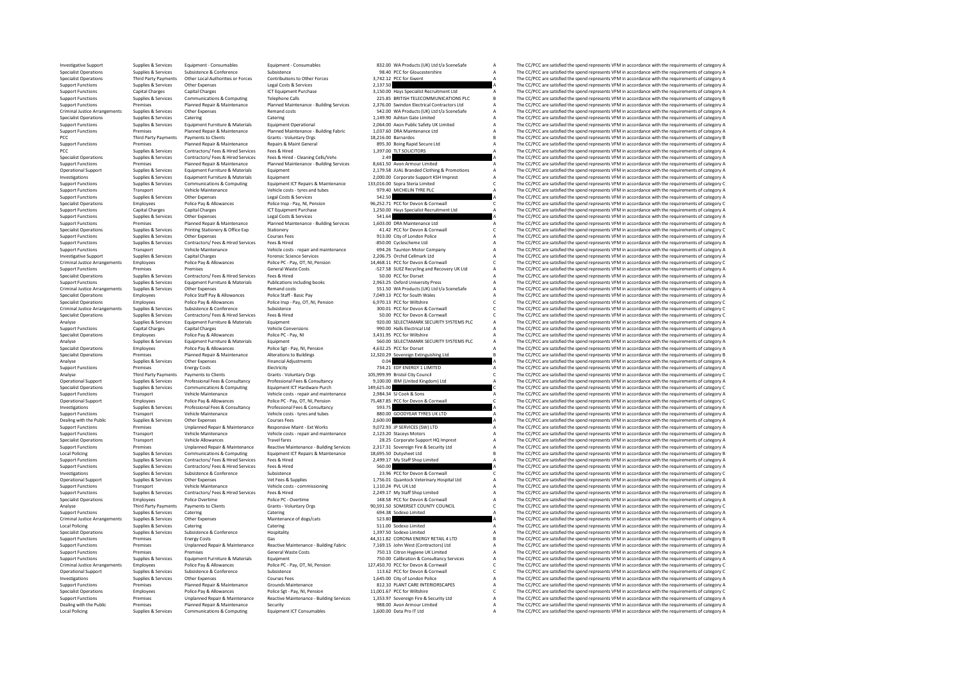Investigative Support Supplies Services Equipment-Consumables Equipment-Consumables and a state of the Support Support Support Support Support Support Support (Services Support Support Support Consumables Services Support Specialist Operations Supplies & Services Subsistence Subsistence Subsistence Subsistence 98.40 PCC for Gloucestershire A The CC/PCC are satisfied the spend represents VFM in accordance with the requirements of category A -<br>Supervisory and the property of the Controller of Controller (September 1998) and the experiment of the Controller of the Controller of the Controller of the Controller of the Controller of the Controller of the Controll Supplies Supplies Supplies Contents Contents and the Support Costs and Costs and Costs and Costs and Costs and Costs and Costs and Costs and Costs and Costs and Costs and Costs and Costs and Costs and Costs and A The COSC Support Functions Capital Charges Capital Charges Capital Charges ICT Equipment Purchase 3,150.00 Hays Specialist Recruitment Ltd A The CC/PCC are satisfied the spend represents VFM in accordance with the requirements of c Support Functions Supplies & Services Communications Romputing Telephone Calls 225.85 BRITISH TELECOMMUNICATIONS PLC BELECOMMUNICATIONS PLECOMMUNICATIONS PLECOLOGYCC are satisfied the spend represents VFM in accordance wit Example of The C/PCC are satisfied the specifies than educations of the C/PCC are satisfied the spend represents VFM in accordance with the requirements of category A Planned Repair & Planned Maintenance - Building Service Criminal Justice Arrangements Supplies & Services Other Expenses Remand costs Remand costs Services Criminal Justice A The CC/PCC are satisfied the spend represents VFM in accordance with the requirements of category A Sec Specialist Operations Supplies & Services Catering Catering Catering Catering Catering Catering Catering Catering Catering Catering 1,149.90 Ashton Gate Limited A The CC/PCC are satisfied the spend represents VFM in accord Support Supplies Services Services (Support Particular Education of the Control of the Control of the Control of the Control of the Control of the Control of the Control of the Control of the Control of the Control of the Support Functions Premises Planned Repair & Maintenance Planned Maintenance - Building Fabric 1,037.60 DRA Maintenance Ltd A The CC/PCC are satisfied the spend represents VFM in accordance with the requirements of category PCC Third Party Payments Payments to Clients Grants - Voluntary Orgs 18,216.00 Barnardos and the CC/PCC are satisfied the spend represents VFM in accordance with the requirements of category B Support Functions Premises Pa Support Functions Premises Planned Repairs Maintenance Repairs Maint General 895.30 Boing Rapid Secure Ltd A The CC/PCC are satisfied the spend represents VFM in accordance with the requirements of category A The CC/PC are PCC Supplies Supplies Contractors/ Fees Nired Supplies Fees & Hired Scruces Fees & Hired Category A The CC/PC are satisfied the spend represents VFM in accordance with the requirements of category A The CC/PC are satisfied Specialist Operations Supplies Services Contractors/ Fees & Hired - Cleaning Cells/Vehs 2.49 A Cleaning Cells/Vehs 2.49 A The CC/PCC are satisfied the spend represents VFM in accordance with the requirements of category A Controller and the media of the media of the media of the controller and the controller and the controller and the controller and the controller and the controller and the controller and the controller and the controller a Operational Support Supplies & Services Equipment Furniture & Materials Equipment European Equipment Company of the COPCR are stated Cothing & Promotions A The CC/PCC are satisfied the spend represents VFM in accordance wi Investigations Supplies & Services Equipment Furniture & Materials Equipment 2,000.00 Corporate Support KSH Imprest A The CC/PCC are satisfied the spend represents VFM in accordance with the requirements of category A Supp Support Supplies Services Communications & Communications and the communications of the communications and the communications of the communications of the communications of the communications of the communication of the co Support Functions Transport Vehicle Maintenance Vehicle costs - tyres and tubes 979.40 MICHELIN TYRE PLC A The CC/PCC are satisfied the spend represents VFM in accordance with the requirements of category A Support Functio Support Functions Supplies & Services Other Expenses Legal Costs & Services Services Support Concerned Concerned Costs and the CC/PCC are satisfied the spend represents VFM in accordance with the requirements of category C Specialist Operations Employees Police Pay & Allowances Police Insp. Pay, NI, Pension 96,252.71 PCC for Devon & Cornwall Corner Devon Beneficialist Devon Allowances Police Pay, NI, Pension 96,252.71 PCC in a correct are ca Support Functions Capital Charges Capital Charges ICT Equipment Purchase 1,250.00 Hays Specialist Recruitment Ltd A The CC/PCC are satisfied the spend represents VFM in accordance with the requirements of category A The CC Support Functions Supplies Services Support Costs (Legal Costs Services Control Costs and DRAMinionance Legal Costs A The CC/PCC are satisfied the spend represents VFM in accordance with the requirements of category A The Support Francisco Premises Pannel Represent Pannel Maintenance - Building Services and Animite and The CCPC are astisted the speed for the end the end the CCPC are astisted the speed of the CCPC are astisted the send repre Specialist Operations Supplies Services Printing Stationery & Office Exp Stationery And The Corner are accorded the Services Areas and Corner are accorded the spend represents VFM in accordance with the requirements of cat Support Functions Supplies & Services Other Expenses Courses Fees 913.00 City of London Police A The CC/PCC are satisfied the spend represents VFM in accordance with the requirements of category A Support Functions Supplie SSO.00 Cyclescheme Ltd<br>
A The CC/PCC are satisfied the spend represents VFM in accordance with the requirements of category A<br>
The CC/PCC are satisfied the spend represents VFM in accordance with the requirements of catego Support Functions Transport Vehicle Maintenance Vehicle Costs - repair and maintenance 204.26 Taunton Motor Company A The CC/PCC are satisfied the spend represents VFM in accordance with the requirements of category A The Investigative Support Supplies & Services Capital Charges Forensic Science Services 2,206.75 Orchid Cellmark Ltd A The CC/PCC are satisfied the spend represents VFM in accordance with the requirements of category Police Pa Criminal Justice Arrangements Employees Police Police Police Police Police Police Police Police Police Police Police Police Police Police Police Police Police Police Police Police Police Police Police Police Police Police Support Functions Premises Premises Premises Premises Contractors Contractors Contractors - General Waste Costs -527.58 SUEZ Recycling and Recovery UK Ltd A The CC/PCC are satisfied the spend represents VFM in accordance w Specialist Operations Supplies & Services Contractors/ Fees & Hired Fees & Hired Services Fees & Hired 50.00 PCC for Dorset A The CC/PCC are satisfied the spend represents VFM in accordance with the requirements of categor Supplies & Services Equipment Furniture & Materials Publications including books 2,963.25 Oxford University Press A The CC/PCC are satisfied the spend represents VFM in accordance with the requirements of category A Crimin Criminal Justice Arrangements Supplies Services Other Expenses Remand costs Services Costs 551.50 WA Products (UK) Ltd t/a SceneSafe A The CC/PCC are satisfied the spend represents VFM in accordance with the requirements o Specialist Operations Employees Police Staff Pay & Allowances Police Staff - Basic Pay 7,049.13 PCC for South Wales A The CC/PCC are satisfied the spend represents VFM in accordance with the requirements of category Catego Police Pay & Allowances Police Insp - Pay, OT, NI, Pension 6,970.13 PCC for Wiltshire C The CC/PCC are satisfied the spend represents VFM in accordance with the requirements of category C Subsistence Subsistence Subsistenc Criminal Justice Arrangements Supplies & Services Subsistence Subsistence Subsistence Subsistence Subsistence 300.01 PCC for Devon & Cornwall C The CC/PCC are satisfied the spend represents VFM in accordance with the requi Specialist Operations Supplies & Services Contractors/ Fees & Hired Services Fees & Hired Services Fees & Hired Services Fees & Hired Services Fees & Hired Services Fees & Hired Services Fees & Hired Services Pees & Hired Analyse Supplies Services Equipment Furniture & Materials Equipment Furniture & Materials Equipment Supplies Equipment of Category Analyse Supplies are satisfied the spend represents VFM in accordance with the requirements Support Functions Capital Charges Capital Charges Vehicle Conversions 990.00 Halls Electrical Ltd A The CC/PCC are satisfied the spend represents VFM in accordance with the requirements of category A Capital Charges Capita Specialist Operations Employees Police Pay & Allowances Police PC - Pay, NI 3,431.95 PCC for Wiltshire A The CC/PCC are satisfied the spend represents VFM in accordance with the requirements of category A The CC/PC are sat Analyse Supplies & Services Equipment Furniture & Materials Equipment Comparent Service Equipment Service Equipment Services Equipment Services Equipment Services Equipment Services Equipment Services Police Service Police Specialist Operations Employees Police Pay & Police Pay Police Sgt - Pay, NI, Pension 4,632.25 PCC for Dorset A The CC/PCC are satisfied the spend represents VFM in accordance with the requirements of category A The CC/PC Specialist Operations Premises Planned Repair & Maintenance Alterations to Buildings 12,320.29 Sovereign Extinguishing Ltd B The CC/PCC are satisfied the spend represents VFM in accordance with the requirements of category Analy Chine CC/PCC are satisfied the spend represents VFM in accordance with the requirements of category A<br>The CC/PCC are satisfied the spend represents VFM in accordance with the requirements of category A The Crist Support Functions Premises Energy Costs Functions Electricity 734.21 EDE ENERGY 1 LIMITED A The CC/PCC are satisfied the spend represents VFM in accordance with the requirements of category A Analyse Third Party Payments Payments to Clients Grants Voluntary Orgs 105,999.99 Bristol City Council Council C The CC/PCC are satisfied the spend represents VFM in accordance with the requirements of category C Creationa Operational Support Supplies & Services Professional Fees & Consultancy Professional Fees & Consultancy Professional Fees & Consultancy 9,100.00 BM (United Kingdom) Ltd A The CC/PCC are satisfied the spend represents VFM i Specialist Operations Supplies & Services Communications & Computing Equipment ICT Hardware Purch 149,625.00 C The CC/PCC are satisfied the spend represents VFM in accordance with the requirements of category C Vehicle cos Support Functions Transport Vehicle Maintenance Vehicle costs - repair and maintenance 2,984.34 SJ Cook & Sons A The CC/PCC are satisfied the spend represents VFM in accordance with the requirements of category C<br>A Deratio Operational Support Employees Police Pay & Allowances Police PC - Pay, OT, NI, Pension 75,487.85 PCC for Devon & Cornwall C The CC/PCC are satisfied the spend represents VFM in accordance with the requirements of category Investigations Supplies & Services Professional Fees & Consultancy Professional Fees & Consultancy Professional Fees & Consultancy Supplies and the Same Supplies A The CC/PCC are satisfied the spend represents VFM in accor Support Functions Transport Vehicle Maintenance Vehicle costs - tyres and tubes - the Support Transport Transport Transport Transport VFM in accordance with the requirements of category A The CC/PCC are satisfied the spend Dealing with the Public Supplies & Services Other Expenses Courses Fees 2,000.00 A The CC/PCC are satisfied the spend represents VFM in accordance with the requirements of category A The CC/PC are satisfied the spend repre The CC/DCC are satisfied the spend represents VEM in accordance with the requirements of category A Support Functions Transport Vehicle Maintenance Vehicle costs - repair and maintenance 2,123.20 Staceys Motors A The CC/PCC are satisfied the spend represents VFM in accordance with the requirements of category A Specialis Specialist Operations Transport Vehicle Allowances Travel fares Travel fares 28.25 Corporate Support HQ Imprest A The CC/PCC are satisfied the spend represents VFM in accordance with the requirements of category A Support Support Functions Members of Premises Unplanned Repair & Maintenance Reactive Maintenance - Building Services 2,317.31 Sovereign Fire & Security Ltd A The CC/PCC are satisfied the spend represents VFM in accordance with th Local Policing Supplies Services Communications & Computing Equipment ICT Repairs & Maintenance 18,695.50 Dutysheet Ltd B The CC/PCC are satisfied the spend represents VFM in accordance with the requirements of category B Support Functions Supplies & Services Contractors/ Fees & Hired Services Fees & Hired 2,499.17 My Staff Shop Limited A The CC/PCC are satisfied the spend represents VFM in accordance with the requirements of category A Sup Support Functions Supplies & Services Contractors/ Fees & Hired Services Fees & Hired Services Fees & Hired Services Fees & Hired Services Fees & Hired Services Supplies & Services Contractors/ Fees & Hired Services Fees & Investigations Supplies Subsistence Subsistence 2007 - 23.96 PCC for Devon & Conference 23.96 PCC for Devon & Corner Proven and Corner and Corner and Corner and Corner and Corner and Corner and Corner and Corner and Corner Operational Supplies Services Other Expenses Other Expenses Vet Fees & Supplies 1,175.01 Quantock Veterinary Hospital Ltd A The CC/PCC are satisfied the spend represents VFM in accordance with the requirements of category The CC/PCC are satisfied the spend represents VFM in accordance with the requirements of category A Support Functions Supplies & Services Contractors/ Fees & Hired Fired Services Fees & Hired 2,249.17 My Staff Shop Limited A The CC/PCC are satisfied the spend represents VFM in accordance with the requirements of category Specialist Operations Employees Police Dvertime Police PC - Overtime Police PC - Overtime 148.58 PCC for Devon & Cornwall A The CC/PCC are satisfied the spend represents VFM in accordance with the requirements of category Analyse Third Party Payments Payments to Clients Grants - Voluntary Orgs 90,591.50 SOMERSET COUNTY COUNCIL C The CC/PCC are satisfied the spend represents VFM in accordance with the requirements of category C Catering Cate Supplies & Services Catering Catering Catering Catering Catering Catering Catering Catering Catering Catering Catering Catering Catering Catering Catering Catering Catering Catering Catering Catering Catering Catering Supp Criminal Justice Arrangements Supplies Supplies Other Criminal Dustains of the Services Other Criminal Dustains of the Criminal Justice Arrangements of the Services of the Service of the spend represents VFM in accordance Local Policing Supplies & Services Catering Catering Catering Catering Catering Catering Catering Catering Catering 511.00 Sodexo Limited A The CC/PCC are satisfied the spend represents VFM in accordance with the requireme Specialist Operations Supplies & Services Subsistence & Conference Hospitality Hospitality 1,397.50 Sodexo Limited A The CC/PCC are satisfied the spend represents VFM in accordance with the requirements of category Bureau Support Functions Premises Energy Costs Gas 44,311.82 CORONA ENERGY RETAIL 4 LTD B The CC/PCC are satisfied the spend represents VFM in accordance with the requirements of category Bread and the spend represents VFM in acc Example of the University of the University of the Maintenance Beative Maintenance - Building Fabric 1963-1963<br>Support Functions and the CCPCC are satisfied the spend recovered to the requirements of category Area of the<br>S Support Functions Premises Premises Premises Premises Premises Premises Premises Premises Premises Premises Premises Premises Premises Costs and the spend of the spend represents VFM in accordance with the requirements of Support Functions Supplies Associates And the Supplies Equipment Furniture & Materials Equipment Function Acconsultation Accordance and the CC/PCC are satisfied the spend represents VFM in accordance with the requirements Policy Policy Policy Policy Policy Policy (1998), Particle Parties (1999), Particle Parties (1999), Particle Parties (1999), Particle Parties (1999), Particle Parties (1999), Particle Parties (1999), Particle Parties (1999 Operational Support Support Support Support Support Support Support Support Support Support Support Support Support Support Support Support Support Support Support Support Support Support Support Support Support Support Su Investigations Supplies & Services Courses Courses Courses Courses Courses Courses The COURS A The COURS A The COURS A The COURS A The COURS A The COURS ARE A The COURS A The COURS ASSOCIATED ASSOCIATED ASSOCIATED A The CO Support Functions Premises Planned Repair & Maintenance Grounds Maintenance and Support But CARE INTERIORSCAPES A The CC/PCC are satisfied the spend represents VFM in accordance with the requirements of category A<br>Speciali Specialist Operations Employees Police Pay & Allowances Police Sgt - Pay, NI, Pension 11,001.67 PCC for Willshire COLOGY The CC/PCC are satisfied the spend represents VFM in accordance with the requirements of category C T Examples of the Unplanned Repair & Maintenance Reactive Maintenance Building Services 1,353.97 Sovereign Fire & Security Ltd A The CC/PCC are satisfied the spend represents VFM in accordance with the requirements of catego Dealing with the Public Premises Planned Repair & Maintenance Security 988.00 Avon Armour Limited A The CC/PCC are satisfied the spend represents VFM in accordance with the requirements of category A Supplies A The CC/PCC Local Policing Supplies & Services Communications & Computing Equipment ICT Consumables 1,600.00 Data Pro IT Ltd A The CC/PCC are satisfied the spend represents VFM in accordance with the requirements of category A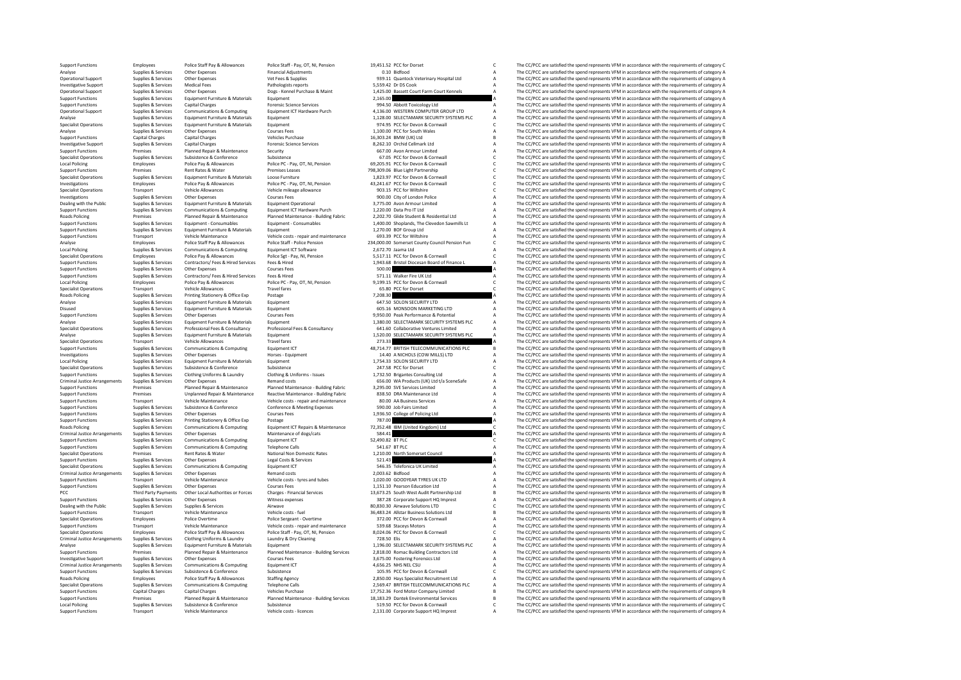Support Functions Employees Police Staff Pay & Allowances Police Staff - Pay, OT, NI, Pension 19,451.52 PCC for Dorset C The CC/PCC are satisfied the spend represents VFM in accordance with the requirements of category C F Analyse Supplies & Services Other Expenses Financial Adjustments 0.10 Bidfood A The CC/PCC are satisfied the spend represents VFM in accordance with the requirements of category A Category A The CC/PCC are satisfied the sp Operational Support Supplies Services Other Expenses Vet Fees & Supplies 939.11 Quantock Veterinary Hospital Ltd A The CC/PCC are satisfied the spend represents VFM in accordance with the requirements of category A The CC/ Investigative Support Support Support Support Support Support Support Support Support Support Support Support Support Support Support Support Support Support Support Support Support A The CC/PCC are supported the spend rep Operational Support Supplies & Services Other Expenses Dogs - Kennel Purchase & Maint 1,425.00 Bassett Court Farm Court Kennels A The CC/PCC are satisfied the spend represents VFM in accordance with the requirements of cat Support Functions Supplies Services Equipment Furniture & Materials Equipment Purniture and Equipment Purniture and the CC/PCC are satisfied the spend represents VFM in accordance with the requirements of category A The CC Support Functions Supplies & Services Capital Charges Capital Charges Forensic Science Services Process Science Services 994.50 Abbott Toxicology Ltd A The CC/PCC are satisfied the spend represents VFM in accordance with t Operational Support Supplies & Services Communications & Computing Equipment ICT Hardware Purch 4,136.00 WESTERN COMPUTER GROUP LTD A The CC/PCC are satisfied the spend represents VFM in accordance with the requirements of Analyse Supplies & Services Equipment Furniture & Materials Equipment 1,128.00 SELECTAMARK SECURITY SYSTEMS PLC A The CC/PCC are satisfied the spend represents VFM in accordance with the requirements of category A Speciali Specialist Operations Supplies Equipment Furniture & Materials Equipment Fundations are the corner of the Corner of the Corner of Corner of Corner are the corner of the Spend represents VFM in accordance with the requireme Analyse Supplies Services Other Expenses Courses Fees Courses Fees 1,100.00 PCC for South Wales A The CC/PCC are satisfied the spend represents VFM in accordance with the requirements of category Bureau Capital Category A Support Functions Capital Charges Capital Charges Vehicles Purchase 16,303.24 BMW (UK) Ltd B The CC/PCC are satisfied the spend represents VFM in accordance with the requirements of category B The Creative Support Support Investigative Support Support Support Support Support Support Support Support Support Support Support Support Support Support Support Support Support Support Support Support Support Services 8,262.10 Orchid A The CC/PCC ar Support Functions Premises Planned Repair & Maintenance Security 667.00 Avon Armour Limited A The CC/PCC are satisfied the spend represents VFM in accordance with the requirements of category Armour Limited and the spend r Specialist Operations Subsistence Subsistence Subsistence Subsistence Subsistence Subsistence Subsistence Subsistence Subsistence Subsistence Subsistence (Service Subsistence of the CC/PC are still devolved and category C Local Policing Employees Police Pay & Allowances Police PC - Pay, OT, NI, Pension 69,205.91 PCC for Devon & Cornwall C The CC/PCC are satisfied the spend represents VFM in accordance with the requirements of category C Support Functions Premises Rent Rates & Water Premises Rent Rates Rent Rates Rent Rates & Water Premises Leases Premises Leases 798,309.06 Blue Light Partnership C The CC/PCC are satisfied the spend represents VFM in accor Supplies & Services Equipment Furniture & Materials Loose Furniture Conservative comment of category C 1,823.97 PCC for Devon & Commall C The CC/PCC are satisfied the spend represents VFM in accordance with the requirement Investigations Employees Police Pay & Allowances Police Pay OT, NI, Pension 43,241.67 PCC for Devon & Cornwall<br>Cornelisty Pay and the spend represents Vehicle allowances Police Pay, OT, NI, Pension 43, 241.67 PCC The CC/PC Specialist Operations Transport Vehicle Allowances Vehicle mileage allowance 903.15 PCC for Wiltshire C The CC/PCC are satisfied the spend represents VFM in accordance with the requirements of category Courses Sees Courses Investigations Supplies & Services Other Expenses Courses Courses Fees Courses Courses Fees 900.00 City of London Police A The CC/PCC are satisfied the spend represents VFM in accordance with the requirements of category A Dealing with the Public Supplies & Services Equipment Furniture & Materials Equipment Operational 3,775.00 Avon Armour Limited A The CC/PCC are satisfied the spend represents VFM in accordance with the requirements of category A Support Functions Supplies & Services Communications Support Functions Computing Equipment ICT Hardware Purch<br>Bannel Research Pro It League Plannel Research A The COMPUT A The COMPUT A The COMPUT A The COMPUT A The COMPUT Road Premise Premier Panel Regulat Panel Panel Panel Panel Panel Panel Panel Panel Panel Panel Panel Panel Panel Panel Panel Panel Panel Panel Panel Panel Panel Panel Panel Panel Panel Panel Panel Panel Panel Panel Panel P Support Supplies Services Equipment Consumables Facebook and the Clevedon Sawmills Lt A The CCPC are atted the spand end the consumer of category and the category and the category and the category and the consumer street i Support Functions Supplies & Services Equipment Furniture & Materials Equipment Coupment Equipment A 1,270.00 BOF Group Ltd A The CC/PCC are satisfied the spend represents VFM in accordance with the requirements of categor Support Functions Transport Vehicle Maintenance Vehicle costs - repair and maintenance 693.39 PCC for Wiltshire A The CC/PCC are satisfied the spend represents VFM in accordance with the requirements of category Chicagory Police Staff - Police Particon and Comparent County Council Pension Funcil Persion Funcil Comparent Council Pension Funcil Comparent Council Pension Funcil Comparent Council Pension Funcil Pension Funcil Pension Funcil Pen Local Policing Supplies & Services Communications & Computing Equipment ICT Software 2,672.70 Jaama Ltd A The CC/PCC are satisfied the spend represents VFM in accordance with the requirements of category A The CC/PCC are s Specialist Operations Employees Police Police Pay & Allowances Police Sgt - Pay, NI, Pension 5,517.11 PCC for Devon & Cornwall C The CC/PCC are satisfied the spend represents VFM in accordance with the requirements of cate Support Functions Supplies & Services Contractors/Fees & Hired Fire Research Fees Mired 1943.68 Bristol Diocesan Board of Finance L A The CC/PCC are satisfied the spend represents VFM in accordance with the requirements of Support Functions Supplies Services Other Expenses Courses Courses Fees 50.000 A The CC/PCC are satisfied the spend represents VFM in accordance with the requirements of category A<br>Courses Courses Courses Courses Courses C Support Functions Supplies & Services Contractors/ Fees & Hired Services Fees & Hired Services Fees & Hired Services Fees & Hired Services Fees & Hired Services Fees & Hired Services Fees & Hired Services Fees & Hired Serv Local Policing Employees Police Pay & Allowances Police PC - Pay, OT, NI, Pension 9,199.15 PCC for Devon & Cornwall C The CC/PCC are satisfied the spend represents VFM in accordance with the requirements of category C The Specialist Operations Transport Vehicle Allowances Travel fares Travel fares 65.80 PCC for Dorset C The CC/PCC are satisfied the spend represents VFM in accordance with the requirements of category C requirements of catego Roads Policing Supplies Services Printing Stationery & Office Exp Postage Principal Printing Stationery A The COFC are satisfied the Service Explicit Services Printing Statisfied the Service The Service Explicationery A Th Analyse Supplies Supplies Supplies Supplies Control of the Services Control of the Services Control of the Services Equipment Supplies Analyse Supplies Analyse Supplies Analyse Supplies Analyse Supplies Analyse Supplies An Disused Supplies & Services Equipment Euriture & Materials Equipment Eurique Equipment 605.16 MONSOON MARKETING LTD A The CC/PCC are satisfied the spend represents VFM in accordance with the requirements of category A Supp Supplies & Services Other Expenses Courses Fees 9,950.00 Peak Performance & Potential A The CC/PCC are satisfied the spend represents VFM in accordance with the requirements of category A Supplies & Services Equirements of Analyse Supplies & Services Equipment Furniture & Materials Equipment Equipment Equipment Analyse and the CC/PCC are satisfied the spend represents VFM in accordance with the requirements of category A Cycle and Speciality Supplies & Services Professional Fees & Consultancy Professional Fees & Consultancy 641.60 Collaborative Ventures Limited A The CC/PCC are satisfied the spend represents VFM in accordance with the requirements of category Analyse Supplies & Services Equipment Furniture & Materials Equipment 1,520.00 SELECTAMARK SECURITY SYSTEMS PLC A The CC/PCC are satisfied the spend represents VFM in accordance with the requirements of category A Speciali Specialist Operations Transport Vehicle Allowances Travel fares Travel fares 273.33 A The CC/PCC are satisfied the spend represents VFM in accordance with the requirements of category A Cupy in accordance with the requirem Supplies Services Communications Scomputing Equipment CT and the Supplies Computing Equipment ICT 48,714.77 BRITISH TELECOMMUNICATIONS PLC BETTHE EQUIPMENT AS The CC/PCC are satisfied the spend represents VFM in accordance Investigations Supplies Supplies Other Expenses - Process - Other Expenses - Equipment 14.00 A NICHOLS (COW MILLS) LTD A The CC/PCC are satisfied the spend represents VFM in accordance with the requirements of category A T LOCAL POLICING SUPPLIES A The CC/PCC are satisfied the spend represents VFM in accordance with the requirements of category A The CC/PCC are satisfied the spend represents VFM in accordance with the requirements of categor Specialist Operations Supplies Suppliers Subsistence Subsistence 247.58 PCC for Dorset C The CC/PCC are satisfied the spend represents VFM in accordance with the requirements of category C Support Experiments of the control of the control of the control of the controlling and the controlling of the controlling of the controlling of the controlling of the controlling of the controlling of the controlling of t Criminal Justice Arrangements Supplies & Services Other Expenses Remand costs Remand costs 656.00 WA Products (UK) Ltd t/a SceneSafe A The CC/PCC are satisfied the spend represents VFM in accordance with the requirements o -<br>Support Functions The Departments of Category A Planned Repart & Maintenance Planned Maintenance - Building Fabric 3,295.00 SVE Services Limited Category A The CC/PCC are satisfied the spend represents VFM in accordance -<br>Support Functions Support Functions Premises Maintenance Premiers (Vehicle out of the Support Function Support<br>Support Functions Transport Vehicle Maintenance Wehicle costs repair and maintenance and analysis of the Supp Support Functions Transport Vehicle Maintenance Vehicle costs - repair and maintenance and maintenance and and maintenance and and the spend of the CC/PCC are satisfied the spend represents VFM in accordance with the requi Support Functions Support Functions Supplies A Service Subsidiary A The CC/PCC are satisfied the spend represents VFM in accordance with the requirements of category A The CC/PCC are satisfied the spend represents VFM in a Support Functions Supplies Services Other Expenses Courses Courses Courses Courses Courses Courses Courses Courses Courses Courses Courses Courses Courses and the Courses of the Courses Courses and the Courses of the COCC Support Functions Supplies Services Printing Stationery & Office Exp Printing Stationery & Office Exp Postage 787.00 A The CC/PC are satisfied the spend represents VFM in accordance with the requirements of category A The The CC/DCC are satisfied the spend represents VEM in accordance with the requirements of sategory C Criminal Justice Arrangements Supplies & Services Other Expenses Maintenance of dogs/cats Supplies and the services of the criminal Justice Arrangements of category A The CC/PCC are satisfied the spend represents VFM in ac Support Functions Supplies & Services Communications & Computing Equipment ICT 52,490.82 BT PLC COMPUTING THE COMPUTING THE COMPUTING COMPUTING THE COMPUTING COMPUTING THE COMPUTING SUPPORT OF THE COMPUTING SUPPORT OF CATE  $S41.67 \text{ BTPLC} \begin{minipage}{0.5cm} \begin{minipage}{0.5cm} \begin{minipage}{0.5cm} \begin{minipage}{0.5cm} \begin{minipage}{0.5cm} \begin{minipage}{0.5cm} \begin{minipage}{0.5cm} \begin{minipage}{0.5cm} \begin{minipage}{0.5cm} \begin{minipage}{0.5cm} \begin{minipage}{0.5cm} \begin{minipage}{0.5cm} \begin{minipage}{0.5cm} \begin{minipage}{0.5cm} \begin{minipage}{0.5cm} \begin{minipage}{0.5cm} \end{minipage}\\ \begin{minipage}{0.$ Specialist Operations Premises Rent Rates Rent Rates Nater National Non Domestic Rates 1,210.00 North Somerset Council A The CC/PCC are satisfied the spend represents VFM in accordance with the requirements of category A S Support Functions Supplies & Services Other Expenses Legal Costs & Services Support Costs Controllers and the Services 521.43 A The CC/PCC are satisfied the spend represents VFM in accordance with the requirements of categ Specialist Operations Supplies & Services Communications & Computing Equipment ICT 546.35 Telefonica UK Limited A The CC/PCC are satisfied the spend represents VFM in accordance with the requirements of category A Criminal Criminal Justice Arrangements Supplies Services Criminal Contents are a remand contents and costs 2,003.62 Bidfood A The CC/PCC are satisfied the spend represents VFM in accordance with the requirements of category A The C Support Functions Transport Functions Transport Vehicle costs - tyres and tubes 1,020.000 GOODYEAR TYRES UK LTD A The CC/PCC are satisfied the spend represents VFM in accordance with the requirements of category A Chures C The CC/PCC are satisfied the spend represents VFM in accordance with the requirements of category A PCC Thiel Battle and the Controller Section of the Control of the Control of the Control of the Control of the Control of the Control of the Control of the Control of the Control of the Control of the Control of the Contro Support Functions Supplies & Services Other Expenses Witness expenses Witness expenses 387.28 Corporate Support HQ Imprest A The CC/PCC are satisfied the spend represents VFM in accordance with the requirements of category BO,830.30 Airwave Solutions LTD C CONTENT The CC/PCC are satisfied the spend represents VFM in accordance with the requirements of category C The CC/PCC are satisfied the spend represents VFM in accordance with the require Support Functions Transport Vehicle Maintenance Vehicle costs - fuel and the Support 36,483.24 Allstar Business Solutions Ltd B The CC/PCC are satisfied the spend represents VFM in accordance with the requirements of categ Specialist Operations Employees Police Overtime Police Sergeant - Overtime 372.00 PCC for Devon & Cornwall A The CC/PCC are satisfied the spend represents VFM in accordance with the requirements of category A The CC/PCC ar Support Functions Transport Vehicle Maintenance Vehicle costs - repair and maintenance 539.68 Staceys Motors A The CC/PCC are satisfied the spend represents VFM in accordance with the requirements of category Police Staff Specialist Operations Employees Police Staff Pay & Allowances Police Staff - Pay, OT, NJ, Pension 8,024.06 PCC for Devon & Comwall Criminal Lustice descriptions police Staff Pay, OT, NJ, Pension 8,024.06 PCC for Devon & Co Criminal Justice Arrangements Supplies Services Clothing Uniforms & Laundry Laundry A Dry Cleaning Dry Cleaning The CRICAL ARRANGE ARRANGE ARRANGE ARRANGE ARRANGE ARRANGE ARRANGE ARRANGE ARRANGE ARRANGE ARRANGE ARRANGE ARR Analyse Supplies & Services Equipment Furniture & Materials Equipment Equipment 1,196.00 SELECTAMARK SECURITY SYSTEMS PLC A The CC/PCC are satisfied the spend represents VFM in accordance with the requirements of category Export Functions Premises Provides Paramed Repair & Maintenance Planned Maintenance - Building Services 2,818.00 Romac Building Contractors Ltd A The CC/PCC are satisfied the spend represents VFM in accordance with the req Investigative Supplies Support Support Support Support Support Support Support Support Support Support A The CC/PC are satisfied the spend represents VFM in accordance with the requirements of category A The CC/PCC are sat Criminal Justice Arrangements Criminal Justices Communications AGS2.<br>
Substicered Supplies Computing Equipments of Computing ICT A The CC/PCC are satisfied the spend represents VFM in accordance with the requirements of ca Support Functions Supplies & Services Subsistence Subsistence Subsistence Subsistence Subsistence Subsistence 105.95 PCC for Devon & Cornwall C The CC/PCC are satisfied the spend represents VFM in accordance with the requi Roads Policing Employees Police Staff Pay & Allowances Staffing Agency 2, 2050.00 Hays Specialist Recruitment Ltd A The CC/PCC are satisfied the spend represents VFM in accordance with the requirements of category A The CC Specialist Operations Supplies Services Communications & Computing Telephone Calls ...........................<br>Support Functions Support Functions Capital Charges Capital Charges Vehicles Purchase Vehicles Purchase 17,752. Support Functions Capital Charges Capital Charges Vehicles Purchase 17,752.36 Ford Motor Company Limited B The CC/PCC are satisfied the spend represents VFM in accordance with the requirements of category B Capital Charges Example of Premises Premises Planned Repair & Maintenance Planned Maintenance Building Services 18,183.29 Dantek Environmental Services B The CC/PCC are satisfied the spend regresents VFM in accordance with the requirement Local Policing Supplies & Services Subsistence Subsistence Subsistence Subsistence Subsistence Subsistence Subsistence Subsistence Subsistence Subsistence Subsistence Subsistence Subsistence Subsistence and the CC/PCC are Transport Vehicle Maintenance Vehicle costs - licences 2,131.00 Corporate Support HQ Imprest A The CC/PCC are satisfied the spend represents VFM in accordance with the requirements of category A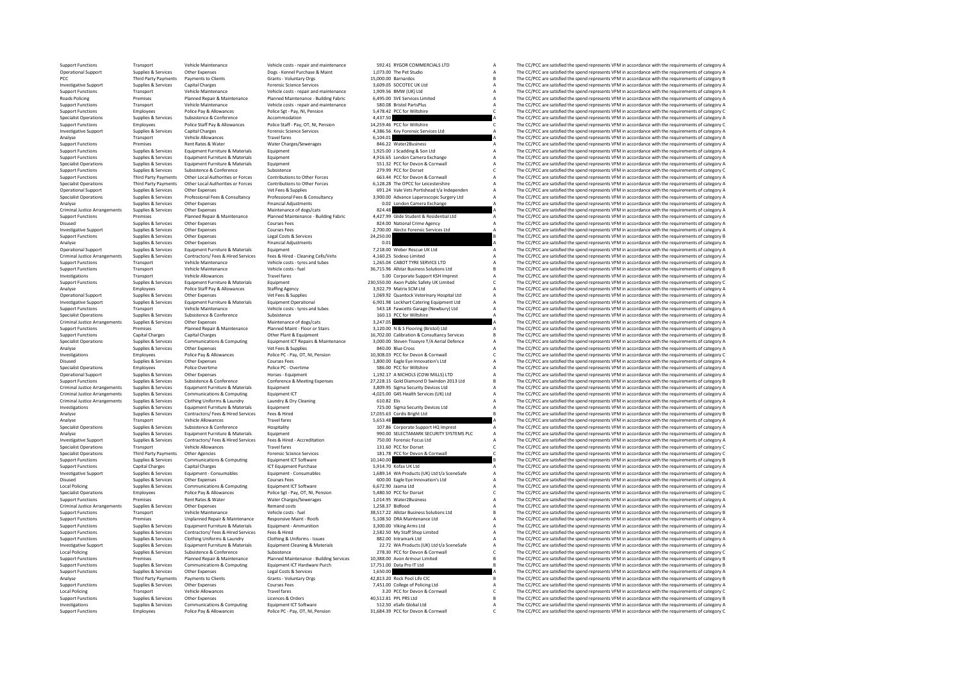Support Functions Transport Vehicle Maintenance Vehicle costs - repair and maintenance 592.41 RYGOR COMMERCIALS LTD A The CC/PCC are satisfied the spend represents VFM in accordance with the requirements of category A Cher Operational Support Supplies & Services Other Expenses Dogs - Kennel Purchase & Maint 1,073.00 The Pet Studio A The CC/PCC are satisfied the spend represents VFM in accordance with the requirements of category A The Criter PCC Third Payments Payments Of Clients Grants - Voluntary Orgs 15,000.000 Barnardos B The CC/PCC are satisfied the spend represents VFM in accordance with the requirements of category B The Secondary Payments of category B Investigative Supplies Services Capital Charges Transformation Support Support Supplies Capital Charges A The CONTEC UK Ltd A The COPCC are satisfied the spend represents VFM in accordance with the requirements of category Support Functions Transport Vehicle Maintenance Vehicle costs - repair and maintenance 1,909.56 BMW (UK) Ltd A The CC/PCC are satisfied the spend represents VFM in accordance with the requirements of category A Ranach Supp Roads Policing Premises Planned Repair & Maintenance Planned Maintenance - Building Fabric - Building Fabric States Limited A The CC/PCC are satisfied the spend represents VFM in accordance with the requirements of categor Support Functions Transport Vehicle Maintenance Vehicle costs - repair and maintenance SAD.08 Bristol PartsPlus<br>Support Functions A Diverse Police Pay & Allowances Police Set - Pay, NI, Pension 5,478.42 PCC for Willshire C Support Functions Employees Police Pay & Allowances Police Sgt - Pay, NI, Pension 5,478.42 PCC for Willshire C The CC/PCC are satisfied the spend represents VFM in accordance with the requirements of category C The CC/PCC Specialist Operations Supplies & Services Subsistence Accommodation Accommodation Accommodation Accommodation 4,437.50 A The CC/PCC are satisfied the spend represents VFM in accordance with the requirements of category C<br>A Support Functions Employees Police Staff Pay & Allowances Police Staff - Pay, OT, NI, Pension 14,259.46 PCC for Wiltshire C The CC/PCC are satisfied the spend represents VFM in accordance with the requirements of category Investigative Support Supplies & Services Capital Charges Forensic Science Services 4,386.56 Key Forensic Services Ltd A The CC/PCC are satisfied the spend represents VFM in accordance with the requirements of category A A Analyse Transport Vehicle Allowances Travel fares Travel fares 6,104.01 6,104.01 A The CC/PCC are satisfied the spend represents VFM in accordance with the requirements of category A<br>Support Functions Premises Rent Rates & Support Functions Premises Rent Rates Rubit Rates Rent Rates Rent Rates Rent Rates A The C/PCC are satisfied the spend represents VFM in accordance with the requirements of category A The C/PCC are actisfied the spend repr Support Functions Supplies Services Equipment Functions and the Services Contains and the CONT Services A The CC/PCC are satisfied the spend represents VFM in accordance with the requirements of category A The CC/PC are sa Support Functions Supplies Services Equipment Functions and Equipment Functions and A The CONTAGE ARENA The CONTAGE ARENA The CONTAGE ARENA The CONTAGE ARENA THE CONTAGE ARENA ARENA ARENA ARENA ARENA ARENA ARENA ARENA AREN Specialist Operations Supplies Services Equipment Fundations are services Equipment Fundations and the Specialist Operations and the CC/PCC are satisfied the spend represents VFM in accordance with the requirements of cate Support Functions Supplies & Services Subsistence Subsistence Subsistence Subsistence Subsistence Subsistence Conference Subsistence C The CC/PCC are satisfied the spend represents VFM in accordance with the requirements o Expect Functions Third Party Payments Other Local Authorities or Forces Contributions to Other Forces 663.44 PCC for Devon & Communil Mark The CC/PCC are satisfied the spend represents VFM in accordance with the requiremen -<br>Specialist Operations Third Party Payments Other Local Authorities or Forces Contributions to Other Forces 6,128.28 The OPCC for Leicestershire A The CC/PCC are satisfied the spend represents VFM in accordance with the r Operational Support Supplies Services Other Expenses Vet Fees & Supplies Consultancy 691.24 Vale Vets Portishead t/a Independen A The CC/PCC are satisfied the spend represents VFM in accordance with the requirements of cat Specialist Operations Supplies & Services Professional Fees & Consultancy Professional Fees & Consultancy Professional Fees & Consultancy 3,900.00 Advance Laparoscopic Supply Ltd A The CC/PCC are satisfied the spend repres Analyse Supplies Supplies Supplies Supplies Supplies Supplies Supplies Contain Camera Exchange A The CC/PCC are satisfied the spend represents VFM in accordance with the requirements of category A The CC/PCC are satisfied Criminal Justice Arrangements Supplies Services Other Expenses Maintenance of dogs/cats arrangements of dogs/cats arrangements of dotes are satisfied the spend represents of the Criminal Justice Arrangements of category A Support English and the premise of the content of the content of the content of the content of the content of the content of the content of the content of the content of the content of the content of the content of the con Disued Supplies Services Other Expenses Courses Fees 824.00 National Crime Agency A The CC/PCC are satisfied the spend represents VFM in accordance with the requirements of category A The CC/PC are satisfied the spend repr Investigative Supplies Services Other Expenses Courses Fees 2,700,00 Alecto Forensic Services Ltd A The CC/PCC are satisfied the spend represents VFM in accordance with the requirements of category A The CC/PCC are satisfi Support Functions Supplies & Services Other Expenses Legal Costs & Services 24,250.00 B The CC/PCC are satisfied the spend represents VFM in accordance with the requirements of category B Supplies & Services Costs & Servic Analyse Supplies of the CC/PCC are satisfied the spend represents VFM in accordance with the requirements of category A<br>A The CC/PCC are satisfied the spend represents VFM in accordance with the requirements of category A<br> Operational Support Supplies & Services Equipment Furniture & Materials Equipment Furniture & Materials Equipment A The CC/PCC are satisfied the spend represents VFM in accordance with the requirements of category A Crimin Criminal Justice Arrangements Supplies & Services Contractors/Fees & Hired-Services Fees & Hired-Cleaning Cells/Vehs 4,160.25 Sodexo Limited Manual Arrangement of the CC/PCC are satisfied the spend represents VFM in accord Support Functions Transport Vehicle Maintenance Vehicle costs - tyres and tubes 1,265.04 CABOT TYRE SERVICE LTD A The CC/PCC are satisfied the spend represents VFM in accordance with the requirements of category Burgory Ca Support Functions Transport Vehicle Maintenance Vehicle costs - fuel 36,715.96 Allstar Business Solutions Ltd B<br>In a costs - functions Leading Developments of category Business - functions - functions - functions - a the C investigations Transport Vehicle Allowances Travel fares Travel fares 5.00 Corporate Support KSH Imprest A The CC/PCC are satisfied the spend represents VFM in accordance with the requirements of category A Support CSH Imp Supplies & Services Equipment Furniture & Materials Equipment Couponent C 230,550.00 Axon Public Safety UK Limited C The CC/PCC are satisfied the spend represents VFM in accordance with the requirements of category C and t Analyse Police Staff Pay Allowances Staffing Agency 3,222.79 Matrix SCM Ltd A The CC/PCC are satisfied the spend represents VFM in accordance with the requirements of category A<br>Cherational Sumplies & Seniors Cherations An Operational Supplies Applies Supplies Other Expenses Vet The Supplies A The CONTABLE A The CONTABLE A The CONTABLE A The CONTABLE A The CONTABLE A The CONTABLE ASSOC ARE A THE CONTABLE A THE CONTABLE A THE CONTABLE A THE C Equipment Operational 6,901.98 Lockhart Catering Equipment Ltd A The CC/PCC are satisfied the spend represents VFM in accordance with the requirements of category A<br>Vehicle costs - tyres and tubes 543.18 Fawcetts Garage (N Support Functions Transport Vehicle Maintenance Vehicle costs - tyres and tubes 543.18 Fawcetts Garage (Newbury) Ltd A The CC/PCC are satisfied the spend represents VFM in accordance with the requirements of category A Sub Specialist Operations Supplies & Services Subsistence Subsistence Subsistence Subsistence and the Services Subsistence of does/cats and the CC/PC are satisfied the spend represents VFM in accordance with the requirements o Criminal Justice Arrangements Supplies & Services Other Expenses Maintenance of dogs/cats 3,247.05 3,247.05 A The CC/PCC are satisfied the spend represents VFM in accordance with the requirements of category A Deputements Support Functions Transformation of Premises Planned Repair & Maintenance Planned Maint - Floor or Stairs 3,120.00 N & S Flooring (Bristol) Ltd The CC/PCC are satisfied the spend represents VFM in accordance with the requi Support Functions Capital Charges Capital Charges Capital Charges Other Plant & Equipment 16,702.00 Calibration & Consultancy Services B The CC/PCC are satisfied the spend represents VFM in accordance with the requirements Supplies & Services Communications & Computing Equipment ICT Repairs & Maintenance 3,000.00 Steven Tisseyre T/A Aerial Defence A The CC/PCC are satisfied the spend represents VFM in accordance with the requirements of cate Analyse Supplies Supplies Supplies Supplies Supplies Supplies Supplies A The Cross Advances A The Cross A The Cross A The Cross A The Cross A The Cross A The Cross A The Cross A The Cross A The Cross A The Cross A The Cros Investigations Employees Police Pay & Allowances Police PC-Pay, OT, NI, Pension 10,308.03 PCC for Devon & Cornwall Cornwall C The CC/PCC are satisfied the spend represents VFM in accordance with the requirements of categor Courses Fees Courses Courses Category Courses Fees 1,800.00 Eagle Eye Innovation's Ltd A The CC/PCC are satisfied the spend represents VFM in accordance with the requirements of category A The CC/PCC are satisfied the spen Specialist Operations Specialist Operations Employees Police Police PC - Overtime Police PC - Overtime Section Police PC - Overtime Section Police PC - Devertime Section Police PC - Devertime Section Police PC - A The CC/P Operational Supplies Support Support Support Support Support Support Support Support Support Support Support Support Support Support Support Support Support Support Support Support Support Support Support Support Support S Supplies & Services Subsistence & Conference Conference Ametring Expenses 27,228.15 Gold Diamond D Swindon 2013 Ltd B The CC/PCC are satisfied the spend represents VFM in accordance with the requirements of category B Crim Criminal Justice Arrangements Supplies & Services Equipment Furniture & Materials Equipment Equipment Equipment Criminal Arrange (2001) 3,809.95 Sigma Security Devices Ltd A The CC/PCC are satisfied the spend represents VF Criminal Justice Arrangements Supplies & Services Communications & Computing Equipment LCT -4,025.00 GAS Health Services (UK) Ltd A The CC/PCC are satisfied the spend represents VFM in accordance with the requirements of c Criminal Justice Arrangements of Criminal Justice Arrangements of Criminal Criminal Criminal Criminal Criminal Dry Cleaning 1999 Elis A The CC/PCC are satisfied the spend represents VFM in accordance with the requirements Investigations Supplies & Services Equipment Furniture & Materials Equipment Coupons Equipment 725.00 Sigma Security Devices Ltd A The CC/PCC are satisfied the spend represents VFM in accordance with the requirements of ca Analyse Supplies Services Contractors/ Fees & Hired Services Fees & Hired Services Team of Category Bright Ltd<br>The CCC are satisfied the spend represents VFM in accordance with the requirements of category Bright Ltd B The Analyse Transport Transport Vehicle Allowances Travel fares Travel fares 5,553.48 A The CC/PCC are satisfied the spend represents VFM in accordance with the requirements of category A The CC/PC are satisfied the spend repr The CC/DCC are satisfied the spend represents VEM in accordance with the requirements of category A Analyse Supplies & Services Equipment Furniture & Materials Equipment Equipment entity entity are service and the Services Equipment of Category A Supplies & Services Contractors/ Fees & Hired Services Fees & Hired - Accre Investigative Support Supplies & Services Contractors/ Fees & Hired Services Fees & Hired - Accreditation 750.00 Forensic Focus Ltd A The CC/PCC are satisfied the spend represents VFM in accordance with the requirements of category A Specialist Operations Transport Vehicle Allowances Travel fares Travel fares 131.60 PCC for Dorset C The CC/PCC are satisfied the spend represents VFM in accordance with the requirements of category C recording to the Allo Specialist Operations Third Party Payments Other Agencies Forensic Science Services 181.78 PCC for Devon & Cornwall C The CC/PCC are satisfied the spend represents VFM in accordance with the requirements of category C E Co Support Functions Supplies & Services Communications & Computing Equipment ICT Software 10,140.00 10,140.00 10,140.00 B The CC/PCC are satisfied the spend represents VFM in accordance with the requirements of category B Sp Support Functions Capital Charges Capital Charges Capital Charges ICT Equipment Purchase 5,914.70 Kofax UK Ltd<br>Investigative Support Functions Consumer Consumables Equipment Consumables 1,689.14 WA Products UK) Ltd A The C - Income of the services of the community of the community of the community of the community of the community of the community of the community of the community of the community of the community of the community of the com Disused Supplies & Services Other Expenses Courses Fees Courses Fees 600.00 Eagle Eye Innovation's Ltd A The CC/PCC are satisfied the spend represents VFM in accordance with the requirements of category A Courses Communica The CC/PCC are satisfied the spend represents VFM in accordance with the requirements of category A Specialist Operations Employees Police Pay & Allowances Police Sgt - Pay, OT, NI, Pension 5,480.50 PCC for Dorset C The CC/PCC are satisfied the spend represents VFM in accordance with the requirements of category C Suppor Support Functions Premises Rent Rates & Water Water Charges/Sewerages 1,014.95 Water2Business A The CC/PCC are satisfied the spend represents VFM in accordance with the requirements of category A Criminal Justice Arrangeme 1,258.37 Bidfood<br>B The CC/PCC are satisfied the spend represents VFM in accordance with the requirements of category A<br>The CC/PCC are satisfied the spend represents VFM in accordance with the requirements of category B Support Functions Transport Vehicle Maintenance Vehicle costs - fuel 38,517.22 Allstar Business Solutions Ltd B The CC/PCC are satisfied the spend represents VFM in accordance with the requirements of category Busines Unpl Support Functions Premises Premises Premises Unplanned Repair Maintenance Responsive Maint - Roofs 5,108.50 DRA Maintenance Ltd A The CC/PCC are satisfied the spend represents VFM in accordance with the requirements of cat Support Functions Supplies & Services Equipment Function Equipment - Ammunition 3,300.00 Viking Arms Ltd A The CC/PCC are satisfied the spend represents VFM in accordance with the requirements of category Arms Ltd A The CC Support Functions Supplies & Services Contractors/ Fees & Hired Services Fees & Hired 2,582.50 My Staff Shop Limited A The CC/PCC are satisfied the spend represents VFM in accordance with the requirements of category A Sup Support Functions Supplies & Services Clothing Uniforms & Laundry Clothing & Uniforms - Issues 882.00 Intramark Ltd A The CC/PCC are satisfied the spend represents VFM in accordance with the requirements of category A The Investigative Support Supplies & Services Equipment Furniture & Materials Equipment Cleaning & Materials 22.72 WA Products (UK) Ltd t/a SceneSafe A The CC/PCC are satisfied the spend represents VFM in accordance with the requirements of category A Local Policing Supplies & Services Subsistence Subsistence Subsistence 278.30 PCC for Devon & Cornwall C The CC/PCC are satisfied the spend represents VFM in accordance with the requirements of category C Supplies & Servic Support Premises and the Property of the Property of the Content of the Content of the Content of the Content of the Content of the Content of the Content of the Content of the Content of the Content of the Content of the Supplies Services Communications Scomputing Equipment ICT Hardware Purch 17,751.00 Data Pro IT Ltd B The CC/PCC are satisfied the spend represents VFM in accordance with the requirements of category B in accordance with th Supplies & Services Other Expenses Legal Costs & Services 1,650.00 A The CC/PCC are satisfied the spend represents VFM in accordance with the requirements of category A Costs and Supplies & Services Legal Costs & Services Analyse Third Party Payments Payments Olients - Voluments Clients Clients - Voluments - Voluments - Voluments Collection - Voluments - Voluments - Voluments Clients - Voluments - Voluments - Voluments - Voluments of catego Support Functions Supplies & Services Other Expenses Courses Fees 7,451.00 College of Policing Ltd A The CC/PCC are satisfied the spend represents VFM in accordance with the requirements of category Courses Travel fares Tr Local Policing Transport Vehicle Allowances Travel fares Travel fares 3.20 PCC for Devon & Cornwall C The CC/PCC are satisfied the spend represents VFM in accordance with the requirements of category C The CC/PC are satisf Support Functions Supplies & Services Other Expenses Licences & Orders 40,512.81 PPL PRS Ltd B The CC/PCC are satisfied the spend represents VFM in accordance with the requirements of category B Licences & Orders 40,512.81 Investigations Supplies & Services Communications & Computing Equipment ICT Software 512.50 eSafe Global Ltd A The CC/PCC are satisfied the spend represents VFM in accordance with the requirements of category Police Park A Employees Police Pay & Allowances Police PC - Pay, OT, NI, Pension 31,684.39 PCC for Devon & Cornwall C The CC/PCC are satisfied the spend represents VFM in accordance with the requirements of category C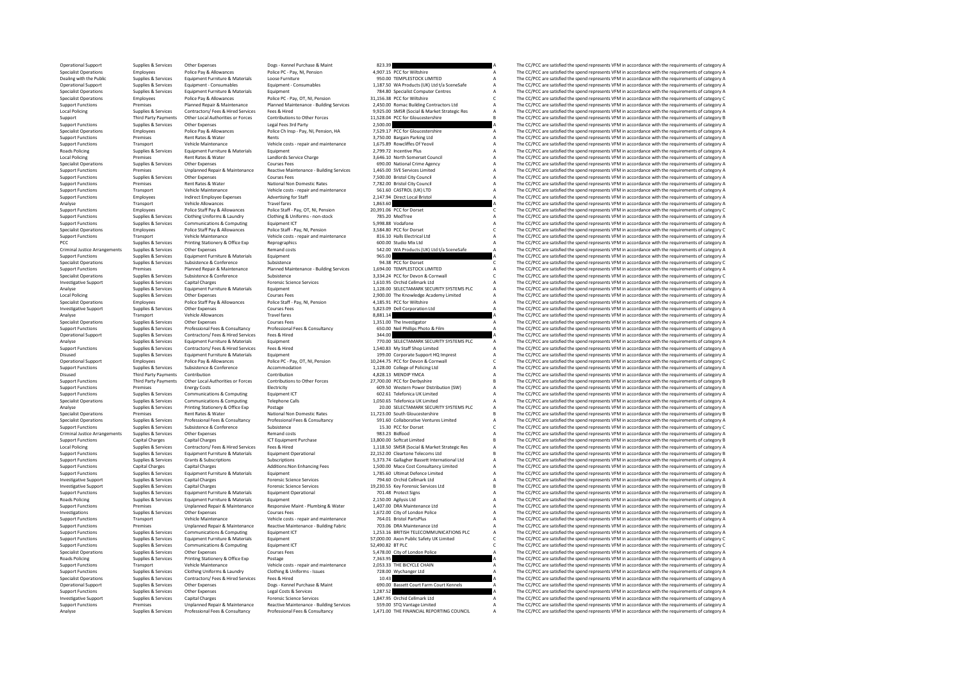Operational Support Supplies & Services Other Expenses Dogs - Kennel Purchase & Maint 823.39 A The CC/PCC are satisfied the spend represents VFM in accordance with the requirements of category A Postephen Purchase & Maint Specialist Operations Employees Police Pay & Allowances Police PC - Pay, NI, Pension 4,907.15 PCC for Willshire A The CC/PCC are satisfied the spend represents VFM in accordance with the requirements of category A The CC/P Dealing with the Public Supplies & Services Equipment Furniture & Materials Loose Furniture and anticipalis Loose Furniture of the Public Supplies & Services Equipment Furniture & Materials Loose Furniture of the reduce of Operation of Supplies Services Equipment Consumables (Equipment Consumables and the exercise and the experiment of the experiment of the experiment of the experiment of the experiment of the equipment of the experiment of Specialist Operations Supplies & Services Equipment Furniture & Materials Equipment (and the requirement of category A The CC/PCC are satisfied the spend represents VFM in accordance with the requirements of category A Spe Specialist Operations Employees Police Pay & Allowances Police PC-Pay, OT, NI, Pension 31,56.38 PCC for Wiltshire COTC are actisfied the spend represents VFM in accordance with the requirements of category AP Pay, OT, NI, Export Functions The CC/PCC are statistically once the Planned Repair & Maintenance Planned Maintenance Building Services 2,450.00 Romac Building Contractors Ltd a The CC/PCC are satisfied the spend represents VFM in accor 11528 Market Strategic Research of The COPCC are attended the contractors of the Services of the Services (ees & Hired of the Services of the Services of Central Archive Contractors/Fees & Hired Services (Central Archive C Third Party Payments Other Local Authorities or Forces Contributions to Other Forces 11,528.04 PCC for Gloucestershire B The CC/PCC are satisfied the spend represents VFM in accordance with the requirements of category B<br>S Support Functions Supplies & Services Other Expenses Legal Fees 3rd Party 2,500.00 2,500.00 A The CC/PCC are satisfied the spend represents VFM in accordance with the requirements of category A Decle Party A Decle Data Par -<br>
Specialist Operations Employees Police Pay & Allowances Police Chinsp - Pay, NI, Pension, HA 7,529.17 PCC for Gloucestershire A The CC/PCC are satisfied the spend represents VFM in accordance with the requirements of ca Support Functions Premises Rent Rates & Water Rents Rents Rents at a Support Rent Rents and A The CC/PCC are satisfied the spend represents VFM in accordance with the requirements of category A Support Functions Transport Support Functions Transport Vehicle Maintenance Vehicle costs repair and maintenance 1,675.89 Rowcliffes Of Yeovil A The CC/PCC are satisfied the spend represents VFM in accordance with the requirements of category A The C Roads Policing Supplies & Services Equipment Furniture & Materials Equipment Equipment 1, 209.72 Incentive Plus A The CC/PCC are satisfied the spend represents VFM in accordance with the requirements of category A The CC/P Local Policing Premises Rent Rates Rent Rates Rent Rates Rent Rates Rent Rates Rent Rates Rent Rates Rent Rates And the Sometime Council A The CC/PCC are satisfied the spend represents VFM in accordance with the requiremen Specialist Operations Supplies Services Other Expenses Crime agency and Crime Agency A The CC/PCC are satisfied the spend represents VFM in accordance with the requirements of category A The CC/PCC are satisfied the spend Examples the control of the control of the control of the control of the control of the control of the control of the control of the control of the control of the control of the control of the control of the control of the Support Functions Supplies & Services Other Expenses Courses Courses Fees 7,500.00 Bristol City Council A The CC/PCC are satisfied the spend represents VFM in accordance with the requirements of category A Support Function Support Functions Premises Rent Rates Ry and the National Non Domestic Rates 7,782.00 Bristol City Council City Council A The CC/PCC are satisfied the spend represents VFM in accordance with the requirements of category A Support Functions Transport Vehicle Maintenance Vehicle costs - repair and maintenance 561.60 CASTROL (UK) LTD A The CC/PCC are satisfied the spend represents VFM in accordance with the requirements of category and the seq Support Functions Employees Indirect Employee Expenses Advertising for Staff 2,147.94 Direct Local Bristol A The CC/PCC are satisfied the spend represents VFM in accordance with the requirements of category A The Criteria Analyse Transport Vehicle Allowances Travel Travel in the Control of the CC/PCC are satisfied the spend represents VFM in accordance with the requirements of category A The C/PCC are satisfied the spend represents VFM in a Support Functions Employees Police Staff Pay & Allowances Police Staff - Pay, OT, NI, Pension 20,391.06 PCC for Dorset C The CC/PCC are satisfied the spend represents VFM in accordance with the requirements of category C T Support Functions Supplies Services Clothing Uniforms Clothing All District Uniforms - non-stock 785.20 MedTree A The CC/PCC are satisfied the spend represents VFM in accordance with the requirements of category A The CC/P Support Functions Supplies & Services Communications & Computing Equipment ICT 5,998.88 Vodafone Support A The CC/PCC are satisfied the spend represents VFM in accordance with the requirements of category A Secialist Opera Specialist Operations Employees Police Staff Pay & Allowances Police Staff - Pay, NI, Pension 3,584.80 PCC for Dorset C The CC/PCC are satisfied the spend represents VFM in accordance with the requirements of category C Ve Support Functions Transport Vehicle Maintenance Vehicle costs - repair and maintenance 816.10 Halls Electrical Ltd A The CC/PCC are satisfied the spend represents VFM in accordance with the requirements of category A Suppo FINE COCACC are satisfied the spend represents VFM in accordance with the requirements of category A The CC/PCC are satisfied the spend represents VFM in accordance with the requirements of category A The CC/PCC are satisf Criminal Justice Arrangements Supplies & Services Other Expenses Category A The Criminal Justice Arrangements Supplies Assemble to the Criminal Justice Arrangements of the requirements of category A The Criminal Justice Ar Support Functions Supplies & Services Equipment Furniture & Materials Equipment extensions Equipment Purniture & Materials Equipment Purniture and the spend represents VFM in accordance with the requirements of category As Specialist Operations Supplies & Services Subsistence Subsistence Subsistence 94.38 PCC for Dorset Conference<br>Support Eurocines Supplies Supplies Support Planned Area Planned Maintenance - Building Services 1,694.00 TEMPLE Support Franches Premises Premises Premises Premises Premises Premises Premises Premises Premises Premises Premises Premises Premises Premises Premises Premises Premises Premises Premises Premises Premises Premises Premise Specialist Operations Supplies & Services Subsistence Subsistence Subsistence 3,334.24 PCC for Devon & Cornwall C The CC/PCC are satisfied the spend represents VFM in accordance with the requirements of category C Category **Investigative Supplies Support Support Supplies Capital Charges Capital Charges Science Services 1,100.95 Orchid Cellmark Ltd A The CC/PCC are satisfied the spend represents VFM in accordance with the requirements of cate** Analyse Supplies Supplies Supplies Equipment Furniture & Materials Equipment 1,128.00 SELECTAMARK SECURITY SYSTEMS PLC A The CC/PCC are satisfied the spend represents VFM in accordance with the requirements of category A T Local Policing Supplies Supplies Courses Courses Courses Courses Courses Courses Courses Courses Courses Courses Courses Courses Courses Courses A The CC/PCC are satisfied the spend represents VFM in accordance with the re Specialist Operations America Police State State States Police States Police States Police States A The CC/PCC are satisfied the spend represents VFM in accordance with the requirements of category A The CC/PCC are satisfi Investigative Support Supplies & Services Other Expenses Courses Fees Courses Fees S,823.09 Dell Corporation Ltd A The CC/PCC are satisfied the spend represents VFM in accordance with the requirements of category A The Ana Analyse Transport Vehicle Allowances Travel fares and the spend of the Secret Allowances Travel fares and the spend represents VFM in accordance with the requirements of category A<br>Specialist Operations Supplies Services O Specialist Operations Supplies & Services Other Expenses Courses Courses Fees and Courses Fees 1,351.00 The Investigator A The CC/PCC are satisfied the spend represents VFM in accordance with the requirements of category A Supplies Services Professional Fees & Consultancy Professional Fees & Consultancy 650.00 Nell Phillips Photo & Film A The CC/PCC are satisfied the spend represents VFM in accordance with the requirements of category A cate Operational Support Supplies & Services Contractors/ Fees & Hired Services Fees & Hired Services Fees & Hired Services Services Fees & Hired Services Support Services Contractors/ Fees & Hired Services Fees & Hired Service Analyse Supplies & Services Equipment Furniture & Materials Equipment Category A 770.00 SELECTAMARK SECURITY SYSTEMS PLC A The CC/PCC are satisfied the spend represents VFM in accordance with the requirements of category A Support Functions Supplies Supplies Contractors/ Fees & Hired Services Fees Alited States Fees Athenament Contractors/ The CC/PC are satisfied the spend represents VFM in accordance with the requirements of category A The Disused Supplies & Services Equipment Furniture & Materials Equipment 199.00 Corporate Support Corporate Support HOMATHON ARTHOR IN A The CC/PCC are satisfied the spend represents VFM in accordance with the requirements of C<sub>2</sub> The CC/PCC are satisfied the spend represents VFM in accordance with the requirements of category C Support Functions Supplies Support Subsistence Accommodation 1,128.00 College of Policing Ltd A The CC/PCC are satisfied the spend represents VFM in accordance with the requirements of category A Disused Third Party Payments Contribution Contribution Contribution and the Contribution Contribution Contribution A The CC/PCC are satisfied the spend represents VFM in accordance with the requirements of category B categ Support Functions Third Party Payments Other Local Authorities or Forces Contributions to Other Forces 27,700.00 PCC for Derbyshire B The CC/PCC are satisfied the spend represents VFM in accordance with the requirements of Support Functions Premises Energy Costs Electricity Electricity Equipment CT Costs Computing Equipment CT COSTS Electricity 609.50 Western Power Distribution (SW) A The CC/PCC are satisfied the spend represents VFM in acco Support Functions Supplies & Services Communications & Computing Equipment LCT 602.61 Telefonica UK Limited A The CC/PCC are satisfied the spend represents VFM in accordance with the requirements of category A Specialist O Specialist Operations Supplies A Services Computing Telephone Calls 1,050.65 Telefonica UK Limited A The CC/PCC are satisfied the spend represents VFM in accordance with the requirements of category A Printing Stationery & Analyse Supplies & Services Printing Stationery & Office Exp Postage 20.00 SELECTAMARK SECURITY SYSTEMS PLC A The CC/PCC are satisfied the spend represents VFM in accordance with the requirements of category A National Non Specialist Operations Premises Rent Rates Rent Rates Rent Rates Rent Rates National Non Domestic Rates 11,723.00 South Gloucestershire B The CC/PCC are satisfied the spend represents VFM in accordance with the requirements Specialist Services Supplies Services Professional Pees (Consultancy Professional Executive Professional Pees of the Consultance of the Consultance of the Consultance of the Consultance of the Consultance of the Consultat The CC/PCC are satisfied the spend represents VFM in accordance with the requirements of category C Criminal Justice Arrangements Supplies & Services Other Expenses Remand costs Remand costs Remand costs 983.23 Bidfood A The CC/PCC are satisfied the spend represents VFM in accordance with the requirements of category B C Support Functions Capital Charges Capital Charges Capital Charges ICT Equipment Purchase 13,800.00 Softcat Limited 13,800.00 Softcat Limited B The CC/PCC are satisfied the spend represents VFM in accordance with the requir Local Policing Supplies & Services Contractors/Fees & Hired Services Fees & Hired Explorence Research 1.118.50 SMSR (Social & Market Strategic Res A The CC/PCC are satisfied the spend represents VFM in accordance with the Eupplies & Services Equipment Furniture & Materials Equipment Operational 22,152.00 Cleartone Telecoms Ltd B The CC/PCC are satisfied the spend represents VFM in accordance with the requirements of category B Subscriptions Support Functions Supplies & Services Grants & Subscriptions Subscriptions Subscriptions Subscriptions Subscriptions Subscriptions Subscriptions and the Subscriptions of the Subscriptions of the Subscriptions of the Subscr Support Functions Capital Charges Capital Charges Additions:Non Enhancing Fees 1,500.00 Mace Cost Consultancy Limited A The CC/PCC are satisfied the spend represents VFM in accordance with the requirements of category A Su Support Functions Supplies & Services Equipment Furniture & Materials Equipment Equipment Equipment Contence Limited A The CC/PCC are satisfied the spend represents VFM in accordance with the requirements of category A The Investigative Support Supplies & Services Capital Charges Forensic Science Services 794.60 Orchid Cellmark Ltd A The CC/PCC are satisfied the spend represents VFM in accordance with the requirements of category A The CC/PC The CC/PCC are satisfied the spend represents VFM in accordance with the requirements of category B Support Functions Supplies & Services Equipment Furniture & Materials Equipment Operational 701.48 Protect Signs A The CC/PCC are satisfied the spend represents VFM in accordance with the requirements of category A Radicia Roads Policing Supplies & Services Equipment Furniture & Materials Equipment A Equipment 2,150.00 Agilysis Ltd A The CC/PCC are satisfied the spend represents VFM in accordance with the requirements of category A Supplies Support Functions Premises Unplanned Repair A Maint - The CC/PCC are satisfied the spend represents VFM in accordance with the requirements of category A The CC/PCC are satisfied the spend represents VFM in accordance with Investigations Supplies Services Other Expenses Courses Fees 1,672.00 City of London Police A The CC/PCC are satisfied the spend represents VFM in accordance with the requirements of category A Support Functions Transport Vehicle Maintenance Vehicle costs - repair and maintenance 764.01 Bristol PartsPlus A The CC/PCC are satisfied the spend represents VFM in accordance with the requirements of category A The CC/P -<br>Support Functions Manuform of Permises Premises Unplanned Readive Maintenance Reactive Maintenance - Building Fabric<br>Support Functions Supplies & Services Communications & Computing Equipment ICT 1,253.16 BRITISH TELECOM Support Functions Supplies & Services Communications & Computing Equipment ICT 1,253.16 BRITISH TELECOMMUNICATIONS PLC A The CC/PCC are satisfied the spend represents VFM in accordance with the requirements of category Ass Support Functions Supplies & Services Equipment Furniture & Materials Equipment C Equipment S7,000.00 Axon Public Safety UK Limited C The CC/PCC are satisfied the spend represents VFM in accordance with the requirements of Support Functions Supplies & Services Communications & Computing Equipment ICT 52,490.82 BT PLC C The CC/PCC are satisfied the spend represents VFM in accordance with the requirements of category Communications & Computing Specialist Operations Supplies & Services Other Expenses Courses Fees SA78.00 City of London Police A The CC/PCC are satisfied the spend represents VFM in accordance with the requirements of category A Road Scattes Provide Roads Policing Supplies Services Printing Stationery & Office Exp Printing Stationery & Office Exp Postage 7,363.95 A The CC/PCC are satisfied the spend represents VFM in accordance with the requirements of category A The The CC/PCC are satisfied the spend represents VEM in accordance with the requirements of category A Support Functions Supplies & Services Clothing Uniforms & Laundry Clothing & Uniforms - Issues 728.00 Wychanger Ltd A The CC/PCC are satisfied the spend represents VFM in accordance with the requirements of category A Suec Specialist Operations Supplies & Services Contractors/ Fees & Hired Services Fees & Hired 10.43 A The CC/PCC are satisfied the spend represents VFM in accordance with the requirements of category A Operational Support Supplies & Services Other Expenses Dogs - Kennel Purchase & Maint 690.00 Bassett Court Farm Court Kennels A The CC/PCC are satisfied the spend represents VFM in accordance with the requirements of category A Support Functions Supplies & Services Other Expenses Legal Costs & Services 1,287.52 A The CC/PCC are satisfied the spend represents VFM in accordance with the requirements of category A Crystal Costs Category A The CC/PCC Investigative Support Supplies & Services Capital Charges Forensic Science Services 1,847.95 Orchid Cellmark Ltd A The CC/PCC are satisfied the spend represents VFM in accordance with the requirements of category A Support Premises Unplanned Repair & Maintenance Reactive Maintenance - Building Services 559.00 STQ Vantage Limited Maintenance - Building Services 559.00 STQ Vantage Limited Maintenance Apple The CC/PCC are satisfied the spend re Analyse Supplies & Services Professional Fees & Consultancy Professional Fees & Consultancy Professional Fees & Consultancy Professional Fees & Consultancy 1,471.00 THE FINANCIAL REPORTING COUNCIL A The CC/PCC are satisfie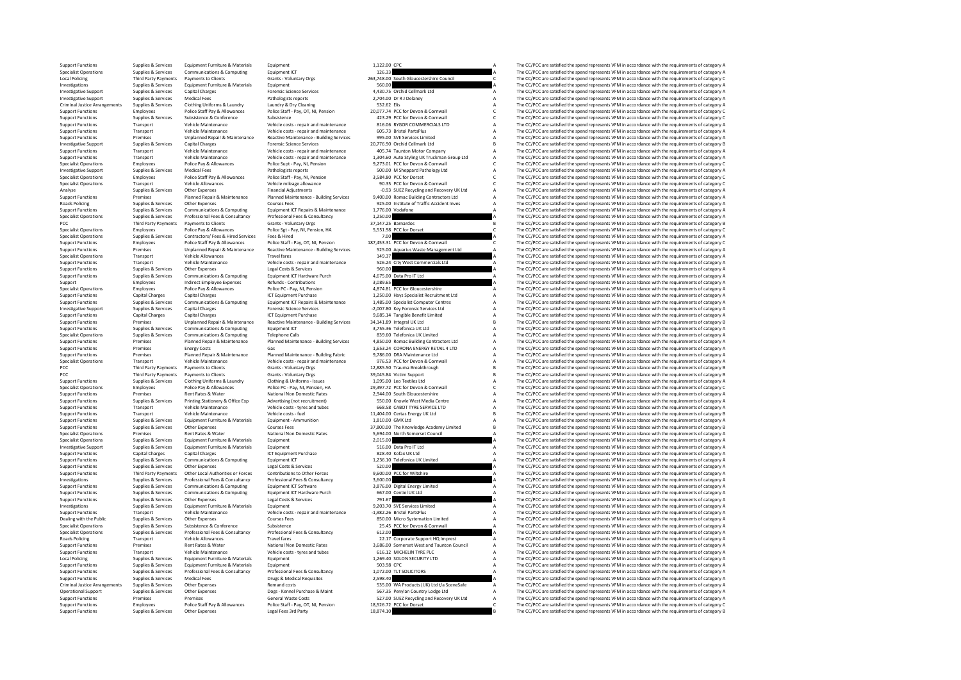Support Functions Supplies & Services Equipment Functions A Equipment Community Equipment Community and the Services Equipment Community and the Services Equipment Communications A The CC/PCC are satisfied the spend repres Specialist Operations Supplies & Services Communications & Computing Equipment ICT 126.33 A The CC/PCC are satisfied the spend represents VFM in accordance with the requirements of category A Communications & Computing Equ Local Policing Third Party Payments Payments Payments Payments Clients Voluntary Orgs 263,748.00 South Gloucestershire Council C The CC/PCC are satisfied the spend represents VFM in accordance with the requirements of cate Investigations Supplies Services Equipment Furniture & Materials Equipment Fund in a The CC/PCC are satisfied the spend represent Supplies of Category A The CC/PCC are spend represents VFM in accordance with the requiremen Investigative Support Supplies & Services Capital Charges Forensic Science Services Forensic Science Services Forensic Science Services and a The CC/PCC are satisfied the spend represents VFM in accordance with the require Investigative Supplies Supplies Support Support Support Support Support Support Support Supplies and the COLOGIST A The CC/PCC are satisfied the spend represents VFM in accordance with the requirements of category A The CC Criminal Justice Arrangements Supplies & Services Clothing Uniforms & Laundry Laundry Laundry A Dry Cleaning 532.62 Elis A The CC/PCC are satisfied the spend represents VFM in accordance with the requirements of category C Support Functions Employees Police Staff Pay & Allowances Police Staff - Pay, OT, NJ, Pension 20,077.74 PCC for Devon & Communal C The CC/PCC are satisfied the spend represents VFM in accordance with the requirements of ca Support Functions Supplies & Services Subsistence Subsistence Subsistence And Subsistence 423.29 PCC for Devon & Cornwall C The CC/PCC are satisfied the spend represents VFM in accordance with the requirements of category Support Functions Transport Vehicle Maintenance Vehicle costs - repair and maintenance 816.06 RYGOR COMMERCIALS LTD A The CC/PCC are satisfied the spend represents VFM in accordance with the requirements of category A Vehi Support Functions Transport Vehicle Maintenance Vehicle costs - repair and maintenance 605.73 Bristol PartsPlus A The CC/PCC are satisfied the spend represents VFM in accordance with the requirements of category A Support -<br>Support Functions Premises Properties Unplanned Repair & Maintenance Reactive Maintenance Building Services 995.00 SVE Services Imited Maintenance According to the CC/PCC are satisfied the spend represents VFM in accorda Investigative Support Support Support Support Support Support Support Support Support Services 20,776.90 Orchid Cellmark Ltd B The C/PCC are satisfied the spend represents VFM in accordance with the requirements of categor Support Functions Transport Vehicle Maintenance Vehicle costs - repair and maintenance 405.74 Taunton Motor Company A The CC/PCC are satisfied the spend represents VFM in accordance with the requirements of category A Vehi Support Transport Communication of the Communication of the Communication of the Communication of the Communication of the Communication of the Communication of the Communication of the Communication of the Communication o Specialist Operations Employees Police Pay & Allowances Pay, NI, Pension 9,273.01 PCC for Devon & Cornwall Cornwall Cornerative Super Pay, NI, Pension 9,273.01 PCC/PCC are and the COPCC are satisfied the spend represents V Investigative Support Supplies & Services Medical Fees Pathologists Feports Pathologists reports 500.00 M Sheppard Pathology Ltd A The CC/PCC are satisfied the spend represents VFM in accordance with the requirements of ca Specialist Operations Employees Police Staff Pay & Allowances Police Staff - Pay, NI, Pension 3,584.80 PCC for Dorset C The CC/PCC are satisfied the spend represents VFM in accordance with the requirements of category C Co Specialist Operations Transport Vehicle Allowances Vehicle mileage allowance 90.35 PCC for Devon & Cornwall Corner Corner (2000) and a the CC/PCC are satisfied the spend represents VFM in accordance with the requirements o Analyse Supplies & Services Other Expenses Financial Adjustments -0.93 SUEZ Recycling and Recovery UK Ltd A The CC/PCC are satisfied the spend represents VFM in accordance with the requirements of category Paramed Repair & Example of Premises Premises Planned Repair & Maintenance Planned Maintenance Building Services 9,400.00 Romac Building Contractors Ltd a The CC/PCC are satisfied the spend represents VFM in accordance with the requirement Roads Policing Supplies Supplies Courses Courses Courses Courses Courses Productive Other Production of Traffic Accident Inves A The CC/PCC are satisfied the spend represents VFM in accordance with the requirements of cate Support Functions Supplies Services Communications & Computing Equipment ICT Repairs A The COMPUTING A The COMPUTING A The COMPUTING A The COMPUTING A The Spend represents VFM in accordance with the requirements of categor Specialist Operations Supplies Services Professional Fees & Consultancy Professional Fees A Consultance Consultance Consultance of Consultance and the CC/PC are satisfied the spend represents VFM in accordance with the req PCC Third Party Payments Payments to Clients Grants - Voluntary Orgs 37,147.25 Barnardos 37,147.25 Barnardos B<br>Secialist Operations Secret Secret Police Pay & Allowances Police Set - Pay. NJ. Pension. HA S.551.98 PCC for D Specialist Operations Employees Police Pay & Allowances Police Sgt - Pay, NI, Pension, HA 5,551.98 PCC for Dorset C The CC/PCC are satisfied the spend represents VFM in accordance with the requirements of category C Specia Specialist Operations Supplies & Services Contractors/ Fees & Hired The Services Fees & Hired The Services Fees & Hired 7.00 A The CC/PCC are satisfied the spend represents VFM in accordance with the requirements of catego Police Staff - Pay, OT, NI, Pension 187,453.31 PCC for Devon & Cornwall<br>- The CC/PCC are satisfied the spend represents VFM in accordance with the requirements of category C<br>- Seactive Maintenance - Buildine Services - S25 of the contract of the contract of the contract of the contract of the contract of the contract of the contract of the contract of the contract of the contract of the contract of the contract of the contract of the contrac Specialist Operations Transport Vehicle Allowances Travel fares Travel fares and maintenance 149.37 A The CC/PCC are satisfied the spend represents VFM in accordance with the requirements of category Vehicle Costs - repair Support Functions Transport Vehicle Maintenance Vehicle costs - repair and maintenance 526.24 City West Commercials Ltd A The CC/PCC are satisfied the spend represents VFM in accordance with the requirements of category A Support Functions Supplies Services Other Expenses Legal Costs Aservices A The COST are the Costs A Costs A The COST are satisfied the spend represents VFM in accordance with the requirements of category Are a The COST are Support Functions Supplies & Services Communications & Computing Equipment ICT Hardware Purch 4,675.00 Data Pro IT Ltd A The CC/PCC are satisfied the spend represents VFM in accordance with the requirements of category A S Support Employees Indirect Employee Expenses Refunds Contributions 3,089.65 Contributions 3,089.65 A The CC/PCC are satisfied the spend represents VFM in accordance with the requirements of category A Contributions and the Specialist Operations Employees Police Pay & Allowances Police Pay, NI, Pension 4,874.81 PCC for Gloucestershire A The CC/PCC are satisfied the spend represents VFM in accordance with the requirements of category A The CC/ Support Functions Capital Charges Capital Charges Capital Charges ICT Equipment Purchase 1,250.00 Hays Specialist Recruitment Ltd A The CC/PCC are satisfied the spend represent VFM in accordance with the requirements of ca Communications & Computing Equipment ICT Repairs & Maintenance 1,485.00 Specialist Computer Centres A The CC/PCC are satisfied the spend represents VFM in accordance with the requirements of category A Capital Charges -2.0 Investigative Support Supplies & Services Capital Charges Capital Charges Forensic Science Services -2,007.80 Key Forensic Services Ltd A The CC/PCC are satisfied the spend represents VFM in accordance with the requirement Support Functions Capital Charges Capital Charges Capital Charges ICT Equipment Purchase 9,685.14 Tangible Benefit Limited A The CC/PCC are satisfied the spend represents VFM in accordance with the requirements of category Support Functions Transference of Department of Category Burden Reactive Maintenance - Building Services 34,141.89 Integral UK Ltd B The CC/PCC are satisfied the spend represents VFM in accordance with the requirements of Support Functions Supplies & Services Communications & Computing Equipment LCT Computing Equipment ICT 3,755.36 Telefonica UK Ltd A The CC/PCC are satisfied the spend represents VFM in accordance with the requirements of c Specialist Operations Supplies & Services Communications & Computing Telephone Calls and The Special Calls 839.60 Telefonica UK Limited A The CC/PCC are satisfied the spend represents VFM in accordance with the requirement Examples the Premises Planned Repair & Maintenance Planned Maintenance - Building Services 4,850.00 Romac Building Contractors Ltd A The CC/PCC are satisfied the spend represents VFM in accordance with the requirements of Support Functions Premises Energy Costs Gas 1,653.24 CORONA ENERGY RETAIL 4 LTD A The CC/PCC are satisfied the spend represents VFM in accordance with the requirements of category AS a represent VFM in accordance with the Support Functions Premises Planned Repair & Maintenance Planned Maintenance - Building Fabric 9,786.00 DRA Maintenance - Building Fabric 9,786.00 DRA Maintenance - A The CC/PCC are satisfied the spend represents VFM in acc The CC/PCC are satisfied the spend represents VEM in accordance with the requirements of category A PCC Third Party Payments Payments of Clients Category B Grants - Voluntary Orgs 12,885.50 Trauma Breakthrough B The CC/PCC are satisfied the spend represents VFM in accordance with the requirements of category B PCC Third Payments Payments Olents - Support Clients - Support Clients - Voluntary Orgs 39,045.84 Victim Support B The CC/PCC are satisfied the spend represents VFM in accordance with the requirements of category B The Cli Support Functions Supplies & Services Clothing Uniforms & Laundry Clothing & Uniforms - Issues 1,095.00 Leo Textiles Ltd A The CC/PCC are satisfied the spend represents VFM in accordance with the requirements of category C -<br>Specialist Operations Employees Police Pay & Allowances Police PC - Pay, NJ, Pension, HA 29,397.72 PCC for Devon & Communal C The CC/PCC are satisfied the spend represents VFM in accordance with the requirements of categ Support Functions Premises Premises Rent Rates Rent Rates Mater National Non Domestic Rates 2,944.00 South Gloucestershire A The CC/PCC are satisfied the spend represents VFM in accordance with the requirements of category Printing Stationery & Office Exp Advertising (not recruitment)<br>
Vehicle costs - types and tubes<br>
Vehicle costs - types and tubes<br>
Vehicle costs - types and tubes and tubes and tubes and tubes and the Search COPC are saided Support Functions Transport Vehicle Maintenance Vehicle costs - tyres and tubes 668.58 CABOT TYRE SERVICE LTD A The CC/PCC are satisfied the spend represents VFM in accordance with the requirements of category B<br>Support Fu Support Functions Transport Vehicle Maintenance Vehicle Costs - fuel 11,404.00 Certas Energy UK Ltd B The CC/PCC are satisfied the spend represents VFM in accordance with the requirements of category B The CC/PCC are satis Support Functions Supplies Services Equipment Furniture & Materials Equipment - Ammunition 1,810.00 GMK Ltd A The CC/PC are satisfied the spend represents VFM in accordance with the requirements of category A The CC/PC are The CC/DCC are satisfied the spend represents VEM in accordance with the requirements of category B Specialist Operations Premises Rent Rates & Water National Non Domestic Rates 5,694.00 North Somerset Council A The CC/PCC are satisfied the spend represents VFM in accordance with the requirements of category A Specialist Specialist Operations Supplies & Services Equipment Furniture & Materials Equipment 2,015.00 A The CC/PCC are satisfied the spend represents VFM in accordance with the requirements of category A The CC/PC are satisfied the Equipment Furniture & Materials Equipment Furniture & Materials Equipment Furniture A Services A Services A The CC/PCC are satisfied the spend represents VFM in accordance with the requirements of category A Service and S2 Support Functions Capital Charges Capital Charges Capital Charges ICT Equipment Purchase 828.40 Kofax UK Ltd A The CC/PCC are satisfied the spend represents VFM in accordance with the requirements of category A Support Fun Support Functions Supplies & Services Communications & Computing Equipment ICT 1,236.10 Telefonica UK Limited A The CC/PCC are satisfied the spend represents VFM in accordance with the requirements of category A Support Fu Support Functions Supplies & Services Other Expenses Legal Costs & Services Support Control and the COST Costs Control of the Support Functions of the COST of Control of the Support Functions Support Functions Support Func Support Functions Thiel Party Payments Other Lical Authorities of Gregory States and the Content of the Content of the Content of the Content of Content of Content of Content of the Content of Content of Content of Content Investigations Supplies & Services Professional Fees & Consultancy Professional Fees & Consultancy 3,600.00 Digital Energy Limited The CC/PCC are satisfied the spend represents VFM in accordance with the requirements of ca Support Functions Support Functions Suppliers Computing Communications Supporting Equipments of category A The CC/PCC are satisfied the spend represents VFM in accordance with the requirements of category A The CC/PCC are Support Functions Supplies Services Communications & Computing Equipment ICT Hardware Purch equipment ICT Hardware Purch 667.00 Centiel UK Ltd A The CC/PCC are satisfied the spend represents VFM in accordance with the requ Supplies & Services Other Expenses Legal Costs & Services 791.67 A The CC/PCC are satisfied the spend represents VFM in accordance with the requirements of category A Costs are supplies & Services Other Expenses Legal Cost 9,203.70 SVE Services Limited **A** The CC/PCC are satisfied the spend represents VFM in accordance with the requirements of category A The CC/PCC are satisfied the spend represents VFM in accordance with the requirements of Support Functions Transport Vehicle Maintenance Vehicle costs - repair and maintenance -1,982.26 Bristol PartsPlus A The CC/PCC are satisfied the spend represents VFM in accordance with the requirements of category A Dealing with the Public Supplies Supplies Courses Courses Courses Courses Courses Courses Courses Courses Courses Courses Courses Courses (2000 Micro Systemation Limited A The CC/PCC are satisfied the spend represents VFM Specialist Operations Supplies & Services Subsistence Subsistence Subsistence 25.45 PCC for Devon & Cornwall A The CC/PCC are satisfied the spend represents VFM in accordance with the requirements of category A The CC/PC a Specialist Operations Supplies & Services Professional Fees & Consultancy Professional Fees & Consultancy Consultancy 612.00 A The CC/PCC are satisfied the spend represents VFM in accordance with the requirements of catego Roads Policing Transport Vehicle Allowances Policing Travel fares 22.17 Corporate Support HQ Imprest A The CC/PCC are satisfied the spend represents VFM in accordance with the requirements of category A The CC/PCC are sati Support Functions Premises Rent Rates Rent Rates National Non Domestic Rates 3,686.00 Somerset West and Taunton Council A The CC/PCC are satisfied the spend represents VFM in accordance with the requirements of category A Support Functions Transport Vehicle Maintenance Vehicle costs - tyres and tubes 616.12 MICHELIN TYRE PLC A The CC/PCC are satisfied the spend represents VFM in accordance with the requirements of category A Costs - Support Local Policing Supplies Services Equipment Furniture & Materials Equipment 1,269.40 Supplies and Supplies and the CC/PCC are satisfied the spend represents VFM in accordance with the requirements of category A The CC/PC ar Equipment Functions Supplies A The CC/PC are satisfied the spend represents VFM in accordance with the requirements of category A The CC/PCC are satisfied the spend represents VFM in accordance with the requirements of cat Export Functions Supplies & Services Professional Fees & Consultancy Professional Fees & Consultancy Professional Fees & Consultancy Professional Fees & Consultancy Professional Fees & Consultancy Professional Fees & Consu Support Functions Services Medical Fees Present Support Functions Support Functions Support Functions and the CC/PCC are satisfied the spend represents VFM in accordance with the requirements of category A The CC/PCC are s Criminal Justice Arrangements Supplies & Services Other Expenses Remand costs Remand costs Remand costs Samples and the Services A The CC/PCC are satisfied the spend represents VFM in accordance with the requirements of ca Operational Support Supplies & Services Other Expenses Dogs - Kennel Purchase & Maint Satisfact Dogs - Kennel Purchase & Maint Satisfact Dogs - Kennel Purchase & Maint School of Dogs - Kennel Purchase & Maint School of Cat Support Functions Premises Premises Premises Premises General Waste Costs 527.00 SUEZ Recycling and Recovery UK Ltd A The CC/PCC are satisfied the spend represents VFM in accordance with the requirements of category A Dens Support Functions Employees Police Staff Pay & Allowances Police Staff - Pay, OT, NI, Pension 18,526.72 PCC for Dorset C The CC/PCC are satisfied the spend represents VFM in accordance with the requirements of category C S Support Functions Supplies And The CC/PCC are satisfied the spend represents VFM in accordance with the requirements of category B The CC/PCC are satisfied the spend represents VFM in accordance with the requirements of ca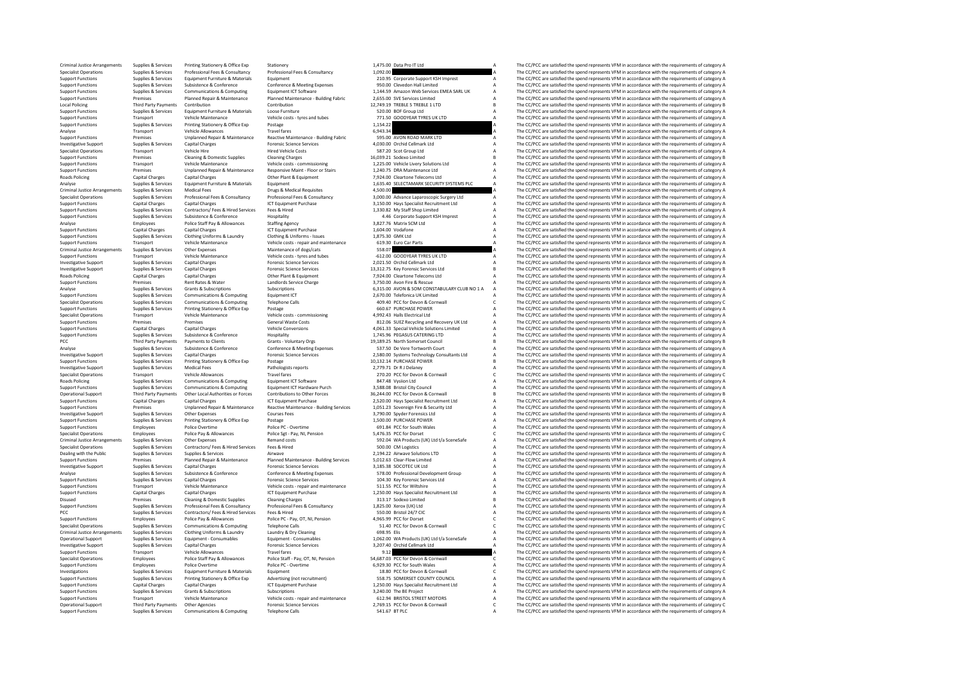Criminal Justice Arrangements Supplies & Services Printing Stationery & Office Exp Stationery Stationery Stationery and the Services Supplies are satisfied the Service Arrangement of Criminal Justice Arrangements of the Pr Specialist Operations Supplies & Services Professional Fees & Consultancy Professional Fees & Consultancy Professional Fees & Consultancy 1,092.00 A The CC/PCC are satisfied the spend represents VFM in accordance with the Support Functions Supplies Services Equipment Functions Support Functions Support Equipment Corporate Support Functions Support Equipment A The CC/PCC are satisfied the spend represents VFM in accordance with the requireme Support Functions Supplies Services Subsistence SConference Conference Conference Conference Conference Conference Conference Conference (Services Support Functions Support Functions Contents and The CONFerence A The CONFE Experiment of Control Control of Control Control Control Control Control Control Control Control Control Control Control Control Control Control Control Control Control Control Control Control Control Control Control Contr Support France of the Manufacture of the Manufacture of the Manufacture of the COCC are astisted the particular of the end of the end of the end of the end of the end of the end of the end of the end of the end of the end Local Policing Third Party Payments Contribution Contribution Contribution Contribution Contribution 12,749.19 TREBLE 5 TREBLE 1 LTD B The CC/PCC are satisfied the spend represents VFM in accordance with the requirements o Support Functions Supplies & Services Equipment Furniture & Materials Loose Furniture Amaterials Loose Furniture and the spend to the Same of the Same COMPART MESS CONDICITY A The CC/PCC are satisfied the spend represents Support Functions Transport Vehicle Maintenance Vehicle costs - tyres and tubes 771.50 GOODYEAR TYRES UK LTD A The CC/PCC are satisfied the spend represents VFM in accordance with the requirements of category A Support Fun Support Functions Supplies & Services Printing Stationery & Office Exp Postage Postage Principal Postage 1,154.22 1.154.22 A The CC/PCC are satisfied the spend represents VFM in accordance with the requirements of category Analyse Transport Vehicle Allowances Travel fares Travel fares and the CO/PCC are satisfied the spend represents VFM in accordance with the requirements of category A CAPC are satisfied the spend represents VFM in accordan Support Functions Premises Unplanned Repair & Maintenance Reactive Maintenance - Building Fabric 595.00 AVON ROAD MARK LTD A The CC/PCC are satisfied the spend represents VFM in accordance with the requirements of category Investigative Support Support Support Support Support Support Support Support Support Support Support Support Support Support Support Support Support Support Support Support Support Support Support A The CC/PCC are satisfi Specialist Operations Transport Vehicle Hire Hired Vehicle Costs SP, 20 Scot Group Ltd A The CC/PCC are satisfied the spend represents VFM in accordance with the requirements of category A The CC/PC are satisfied the spend Support Functions Premises Cleaning & Domestic Supplies Cleaning Charges Cleaning Charges 2003-21 Sodexo Limited B The CC/PCC are satisfied the spend represents VFM in accordance with the requirements of category B The CC/ Support Functions Transport Vehicle Maintenance Vehicle costs - commissioning 1,225.00 Vehicle Livery Solutions Ltd A The CC/PCC are satisfied the spend represents VFM in accordance with the requirements of category A Supp Support Functions Premises Unplanned Repair & Maintenance Responsive Maint - Floor or Stairs 1,240.75 DRA Maintenance Ltd A The CC/PCC are satisfied the spend represents VFM in accordance with the requirements of category  $\footnotesize \begin{minipage}{0.0cm} \begin{minipage}{0.0cm} \begin{minipage}{0.0cm} \begin{minipage}{0.0cm} \begin{minipage}{0.0cm} \begin{minipage}{0.0cm} \begin{minipage}{0.0cm} \begin{minipage}{0.0cm} \begin{minipage}{0.0cm} \begin{minipage}{0.0cm} \begin{minipage}{0.0cm} \begin{minipage}{0.0cm} \begin{minipage}{0.0cm} \begin{minipage}{0.0cm} \begin{minipage}{0.0cm} \begin{minipage}{0.0cm} \begin{minipage}{0.0cm} \begin{minipage}{0.0cm} \$ Analyse Supplies & Services Equipment Furniture & Materials Equipment Equipment Equipment Equipment Equipment Equipment analyse enters and the CC/PCC are satisfied the spend represents VFM in accordance with the requiremen Criminal Justice Arrangements Supplies & Services Medical Fees AConsultancy Drugs & Medical Requisites Magnetical Requisites 4,500.00 Advance Laparoscopic Supply to The CC/PCC are satisfied the spend represents VFM in acco Specialist Operations Supplies & Services Professional Fees & Consultancy Professional Fees & Consultancy Professional Fees & Consultancy 3,000.00 Advance Laparoscopic Supper Ltd The CC/PCC are satisfied the spend represen Support Functions Capital Charges Capital Charges ICT Equipment Purchase 3,150.00 Hays Specialist Recruitment Ltd A The CC/PCC are satisfied the spend represents VFM in accordance with the requirements of category A The CC Support Functions Supplies Services Contractors/ Fees & Hired Services Fees & Hired Limited A The CC/PC are substant A The CC/PCC are satisfied the spend represents VFM in accordance with the requirements of category A The Support Functions Support Functions Support Functions Support Support Conference Support A The CORPORATE A The CORPORATE AREA The CORPORATE A The CORPORATE AREA The Support Conference ASSOCIAL AREA The SUPPORATE A The CORP Analyse Employees Police Staff Pay Allowances Staffing Agency 3,827.76 Matrix SCM Ltd A The CC/PCC are satisfied the spend represents VFM in accordance with the requirements of category A The CC/PCC are satisfied the spend Support Functions Capital Capital Charges Capital Charges ICT Equipment Purchase 1,604.00 Vodafone A The CC/PCC are satisfied the spend represents VFM in accordance with the requirements of category A The CC/PC are satisfi Support Functions Supplies & Services Clothing Uniforms & Laundry Clothing & Uniforms - Issues 1,875.30 GMK Ltd A The CC/PCC are satisfied the spend represents VFM in accordance with the requirements of category A Clothing  $S130$  Euro Car Parts  $A$  The CC/PCC are satisfied the spend represents VFM in accordance with the requirements of category A The CC/PCC are satisfied the spend represents VFM in accordance with the requirements of catego Criminal Justice Arrangements Supplies & Services Other Expenses Criminal Justice Arrangements of category and the Services Other Expenses Maintenance of dogs/cats 558.07 A The CC/PCC are satisfied the spend represents VFM Support Functions Transport Vehicle Maintenance Vehicle costs - tyres and tubes -612.00 GOODYEAR TYRES UK LTD A The CC/PCC are satisfied the spend represents VFM in accordance with the requirements of category Vehicle cost .<br>Investigative Support Supplies & Services Capital Charges Forensic Science Services 2,021.50 Orchid Cellmark Ltd A The CC/PCC are satisfied the spend represents VFM in accordance with the requirements of category Bread o Investigative Support Supplies & Services Capital Charges Forensic Science Services 13,312.75 Key Forensic Services Ltd B The CC/PCC are satisfied the spend represents VFM in accordance with the requirements of category Br Roads Policing Capital Charges Capital Charges Capital Charges Other Plant & Equipment 7,924.00 Cleartone Telecoms Ltd A The CC/PCC are satisfied the spend represents VFM in accordance with the requirements of category A S Experiences Rent Rates & Water Landlords Service Charge 3,750.00 Avon Fire & Rescue A The CC/PCC are satisfied the spend represents VFM in accordance with the requirements of category A Subscriptions Subscriptions Subscrip Analyse Supplies Services Grants Subscriptions Subscriptions Subscriptions Subscriptions Subscriptions Subscriptions Club No. A CONSTABULARY CLUB NO 1 A A The CC/PCC are satisfied the spend represents VFM in accordance wit Support Functions Supplies Services Communications & Computing Equipment ICT 2,000 Telefonical UK Limited A The CC/PCC are satisfied the Spend represents VFM in accordance with the requirements of category A The CC/PC are Experiment operations Suppliers Accepted Telephone Calls and the Services Computing Telephone Calls 409.40 PCC for Devon & Cornwall C The CC/PCC are satisfied the spend represents VFM in accordance with the requirements of Support Functions Supplies & Services Printing Stationery & Office Exp Postage Postage Postage Postage Postage Postage Postage Postage Postage Support Function and The CC/PCC are satisfied the spend represents VFM in accor Specialist Operations Transport Vehicle Maintenance Vehicle costs - commissioning 4,992.43 Halls Electrical Ltd A The CC/PCC are satisfied the spend represents VFM in accordance with the requirements of category A Vehicle Support Functions Premises Premises Premises Premises Support Premises Category Control Control Control Control Control Control Control Control Control Control Control Control Control Control Control Control Control A The Support Functions Capital Charges Capital Charges Vehicle Conversions 4,061.33 Special Vehicle Solutions Limited A The CC/PCC are satisfied the spend represents VFM in accordance with the requirements of category A Support Support Functions Supplies & Services Subsistence Subsistence Hospitality Hospitality 1,745.96 PEGASUS CATERING LTD A The CC/PCC are satisfied the spend represents VFM in accordance with the requirements of category A Cons Third Party Payments Payments to Clients Category B Grants - Voluntary Orgs 19,189.25 North Somerset Council B The CC/PCC are satisfied the spend represents VFM in accordance with the requirements of category B STAD in acc Analyse Subsistence Subsistence Subsistence Conference Conference Conference Conference and the Conference and the Court A The CC/PCC are satisfied the spend represents VFM in accordance with the requirements of category A investigative Supplies Secrices (applic have a series of the content of the content of the content of the content of the content of the content of the content of the content of the content of the content of the content of Support Functions Support Functions Support The CCC Supplies COMECAS Principles Printing State 10, 10.12.14 PURCHASE POWER B The CC/PCC are satisfied the spend represents VFM in accordance with the requirements of category Investigative Support Supplies & Services Medical Fees Pathologists reports Pathologists reports 2,779.71 Dr R J Delaney A The CC/PCC are satisfied the spend represents VFM in accordance with the requirements of category A Specialist Operations Travel Travel Travel of Corner Corner Transport Corner Corner Corner Corner (2001 PCC For Devon & Corner Corner Corner Corner Corner Corner Corner Corner Corner Corner Corner Corner Corner Corner Corn Roads Policing Supplies & Services Communications & Computing Equipment ICT Software and a many and the COMPUTING A The CC/PCC are satisfied the spend represents VFM in accordance with the requirements of category A Cuppen Example Services Communications Computing Equipment ICT Hardware Purch 3,588.08 Bristol City Council Manual A The CC/PCC are satisfied the spend represents VFM in accordance with the requirements of category A Correct Cont .<br>Operational Support Third Party Payments Other Local Authorities or Forces Contributions to Other Forces 36,24<br>Support Functions Capital Charges Capital Charges Capital Charges ICT Equipment Purchase 2,520.00 Hays Specia Support Functions Capital Charges Capital Charges Capital Charges 2,520.00 Hays Specialist Recruitment Ltd A The CC/PCC are satisfied the spend represents VFM in accordance with the requirements of category A LOS1.23 Sover Examples of the control of the control of the control of the control of the control of the control of the control of the control of the control of the control of the control of the control of the control of the control of Investigative Support Support Support Support Support Support Support Support Support Support Support Support Support Support Support Support Support Support Support Support Support Support Support Support Support Support Support Functions Supplies & Services Printing Stationery & Office Exp Printing Stationery & Office Exp Postage 1,500.00 PURCHASE POWER A The CC/PCC are satisfied the spend represents VFM in accordance with the requirement The CC/PCC are satisfied the spend represents VEM in accordance with the requirements of category A Specialist Operations Employees Police Pay & Allowances Police Sgt - Pay, NI, Pension 5,476.35 PCC for Dorset C The CC/PCC are satisfied the spend represents VFM in accordance with the requirements of category C C The C PC Criminal Justice Arrangements Supplies & Services Other Expenses Remand costs Remand costs Remand costs Remand costs Remand costs Supplies A The CC/PCC are satisfied the spend represents VFM in accordance with the requirem Specialist Operations Supplies & Services Contractors/ Fees & Hired Services Fees & Hired Services Fees & Hired Services Fees & Hired Services Airway Supplies A The CC/PCC are satisfied the spend represents VFM in accordan Dealing with the Public Supplies & Services Supplies & Services Airwave Airwave 2,194.22 Airwave Solutions LTD A The CC/PCC are satisfied the spend represents VFM in accordance with the requirements of category A<br>Support F Support Functions Premises Planned Repair & Maintenance Planned Maintenance - Building Services 5,012.63 Clear-Flow Limited A The CC/PCC are satisfied the spend represents VFM in accordance with the requirements of category A Investigative Support Supplies & Services Capital Charges Forensic Science Services 3,185.38 SOCOTEC UK Ltd A The CC/PCC are satisfied the spend represents VFM in accordance with the requirements of category A Category A T Analyse Supplies & Services Subsistence & Conference Conference Conference Conference Conference Conference Supplies Supplies and the CONFerence Supplies are the spend represents VFM in accordance with the requirements of Support Functions Supplies Services Capital Charges Forences Capital Charges Towns of the Charges Transformation of the Companications Capital Charges A The CC/PCC are satisfied the spend represents VFM in accordance with Vehicle Maintenance Vehicle costs - repair and maintenance 511.55 PCC for Wiltshire Vehicle Costs - repair and maintenance 511.55 PCC for Wiltshire A The CC/PCC are satisfied the spend represents VFM in accordance with the Support Functions Capital Charges Capital Charges Capital Charges ICT Equipment Purchase 1,250.00 Hays Specialist Recruitment Ltd A The CC/PCC are satisfied the spend represents VFM in accordance with the requirements of c Disused Premises Cleaning & Domestic Supplies Cleaning Charges Cleaning Charges 313.17 Sodexo Limited B The CC/PCC are satisfied the spend represents VFM in accordance with the requirements of category B Supplies Services Support Functions Supplies & Services Professional Fees & Consultancy Professional Fees & Consultancy 1,825.00 Xerox (UK) Ltd A The CC/PCC are satisfied the spend represents VFM in accordance with the requirements of category A PCC PCC are satisfied the CC/PCC are satisfied the Services Contractors/ Fees & Hired Services Fees & Hired 550.00 Bristol 24/7 CIC A The CC/PCC are satisfied the spend represents VFM in accordance with the requirements of Support Functions Employees Police Pay & Allowances Police Pay, OT, NI, Pension 4,965.99 PCC for Dorset Category Control are spend represents VFM in accordance with the requirements of category C represents VFM in accordan Specialist Operations Supplies & Services Communications & Computing Telephone Calls 51.40 PCC for Devon & Cornwall C The CC/PCC are satisfied the spend represents VFM in accordance with the requirements of category C real Criminal Justice Arrangements Supplies & Services Clothing Uniforms & Laundry Laundry Laundry A Unitor Criminal and the Criminal Justice A The CC/PCC are satisfied the spend represents VFM in accordance with the requiremen Operational Support Supplies & Services Equipment - Consumables Equipment - Consumables 1,062.00 WA Products (UK) Ltd t/a SceneSafe A The CC/PCC are satisfied the spend represents VFM in accordance with the requirements of category A Investigative Support Supplies & Services Capital Charges Forensic Science Services 3,207.40 Orchid Cellmark Ltd A The CC/PCC are satisfied the spend represents VFM in accordance with the requirements of category A Support Support Functions Transport Vehicle Allowances Travel fares Travel fares and the spend represents Vehicle Allowances Travel fares Travel fares and the spend represents VFM in accordance with the requirements of category A -<br>Specialist Derations of the staff of the staff of the staff of the staff of the staff of the staff of the staff of the staff of the staff of the staff of the staff of the staff of the staff of the staff of the staff of t Support Functions A - The CC/PCC are satisfied the spend represents VFM in accordance with the requirements of category A The CC/PCC are satisfied the spend represents VFM in accordance with the requirements of category C Investigations Supplies & Services Equipment Furniture & Materials Equipment Equipment Purincipality experiment is a mecanical C The CC/PCC are satisfied the spend represents VFM in accordance with the requirements of cate Support Functions Supplies & Services Printing Stationery & Office Exp Advertising (not recruitment) 558.75 SOMERSET COUNTY COUNCIL A The CC/PCC are satisfied the spend represents VFM in accordance with the requirements of Support Functions Capital Charges Capital Charges ICT Equipment Purchase 1,250.00 Hays Specialist Recruitment Ltd A The CC/PCC are satisfied the spend represents VFM in accordance with the requirements of category A Subscr Support Functions Supplies & Services Grants & Subscriptions Subscriptions Subscriptions Subscriptions Subscriptions Subscriptions and maintenance and the Across Crants A The CC/PCC are satisfied the spend represents VFM i Support Functions Transport Vehicle Maintenance Vehicle costs - repair and maintenance 612.94 BRISTOL STREET MOTORS A The CC/PCC are satisfied the spend represents VFM in accordance with the requirements of category A The Operational Support Third Party Payments Other Agencies Forensic Science Services 2,769.15 PCC for Devon & Cornwall C The CC/PCC are satisfied the spend represents VFM in accordance with the requirements of category Cornwi Supplies & Services Communications & Computing Telephone Calls 541.67 BTPLC A The CC/PCC are satisfied the spend represents VFM in accordance with the requirements of category A